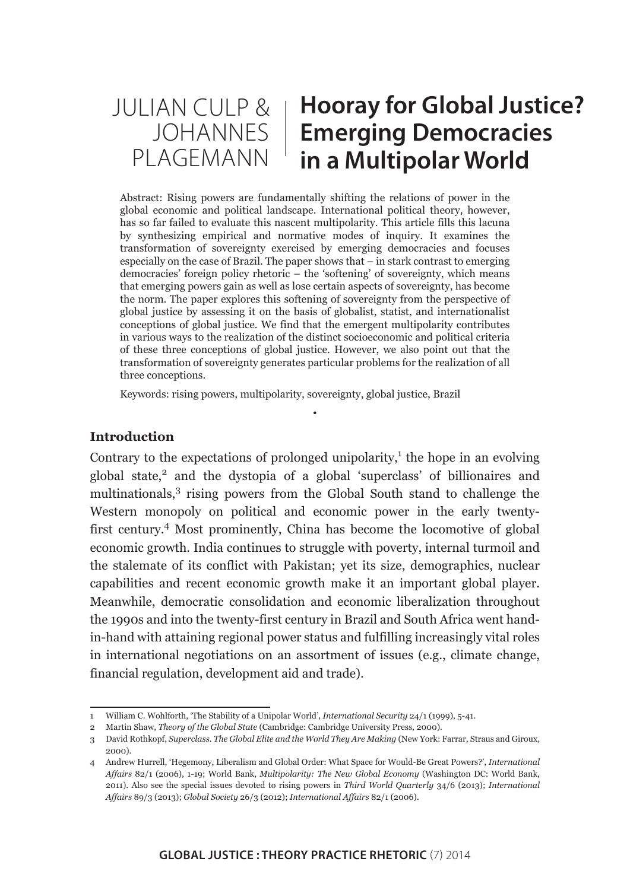#### JULIAN CULP & JOHANNES | PLAGEMANN **Hooray for Global Justice? Emerging Democracies in a Multipolar World**

Abstract: Rising powers are fundamentally shifting the relations of power in the global economic and political landscape. International political theory, however, has so far failed to evaluate this nascent multipolarity. This article fills this lacuna by synthesizing empirical and normative modes of inquiry. It examines the transformation of sovereignty exercised by emerging democracies and focuses especially on the case of Brazil. The paper shows that – in stark contrast to emerging democracies' foreign policy rhetoric – the 'softening' of sovereignty, which means that emerging powers gain as well as lose certain aspects of sovereignty, has become the norm. The paper explores this softening of sovereignty from the perspective of global justice by assessing it on the basis of globalist, statist, and internationalist conceptions of global justice. We find that the emergent multipolarity contributes in various ways to the realization of the distinct socioeconomic and political criteria of these three conceptions of global justice. However, we also point out that the transformation of sovereignty generates particular problems for the realization of all three conceptions.

•

Keywords: rising powers, multipolarity, sovereignty, global justice, Brazil

## **Introduction**

Contrary to the expectations of prolonged unipolarity, $<sup>1</sup>$  the hope in an evolving</sup> global state,<sup>2</sup> and the dystopia of a global 'superclass' of billionaires and multinationals,3 rising powers from the Global South stand to challenge the Western monopoly on political and economic power in the early twentyfirst century.4 Most prominently, China has become the locomotive of global economic growth. India continues to struggle with poverty, internal turmoil and the stalemate of its conflict with Pakistan; yet its size, demographics, nuclear capabilities and recent economic growth make it an important global player. Meanwhile, democratic consolidation and economic liberalization throughout the 1990s and into the twenty-first century in Brazil and South Africa went handin-hand with attaining regional power status and fulfilling increasingly vital roles in international negotiations on an assortment of issues (e.g., climate change, financial regulation, development aid and trade).

<sup>1</sup> William C. Wohlforth, 'The Stability of a Unipolar World', *International Security* 24/1 (1999), 5-41.

<sup>2</sup> Martin Shaw, *Theory of the Global State* (Cambridge: Cambridge University Press, 2000).

<sup>3</sup> David Rothkopf, *Superclass. The Global Elite and the World They Are Making* (New York: Farrar, Straus and Giroux, 2000).

<sup>4</sup> Andrew Hurrell, 'Hegemony, Liberalism and Global Order: What Space for Would-Be Great Powers?', *International Affairs* 82/1 (2006), 1-19; World Bank, *Multipolarity: The New Global Economy* (Washington DC: World Bank, 2011). Also see the special issues devoted to rising powers in *Third World Quarterly* 34/6 (2013); *International Affairs* 89/3 (2013); *Global Society* 26/3 (2012); *International Affairs* 82/1 (2006).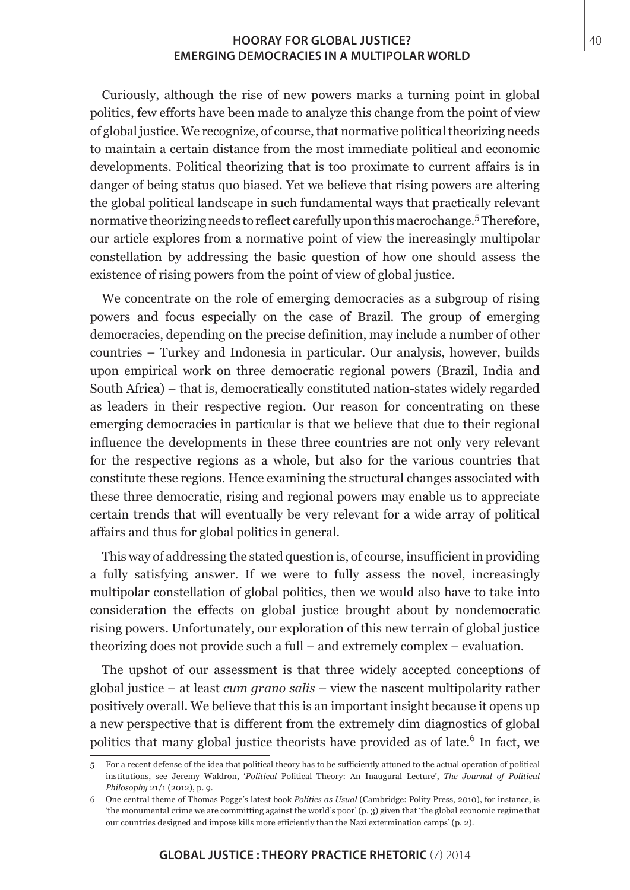Curiously, although the rise of new powers marks a turning point in global politics, few efforts have been made to analyze this change from the point of view of global justice. We recognize, of course, that normative political theorizing needs to maintain a certain distance from the most immediate political and economic developments. Political theorizing that is too proximate to current affairs is in danger of being status quo biased. Yet we believe that rising powers are altering the global political landscape in such fundamental ways that practically relevant normative theorizing needs to reflect carefully upon this macrochange.<sup>5</sup> Therefore, our article explores from a normative point of view the increasingly multipolar constellation by addressing the basic question of how one should assess the existence of rising powers from the point of view of global justice.

We concentrate on the role of emerging democracies as a subgroup of rising powers and focus especially on the case of Brazil. The group of emerging democracies, depending on the precise definition, may include a number of other countries – Turkey and Indonesia in particular. Our analysis, however, builds upon empirical work on three democratic regional powers (Brazil, India and South Africa) – that is, democratically constituted nation-states widely regarded as leaders in their respective region. Our reason for concentrating on these emerging democracies in particular is that we believe that due to their regional influence the developments in these three countries are not only very relevant for the respective regions as a whole, but also for the various countries that constitute these regions. Hence examining the structural changes associated with these three democratic, rising and regional powers may enable us to appreciate certain trends that will eventually be very relevant for a wide array of political affairs and thus for global politics in general.

This way of addressing the stated question is, of course, insufficient in providing a fully satisfying answer. If we were to fully assess the novel, increasingly multipolar constellation of global politics, then we would also have to take into consideration the effects on global justice brought about by nondemocratic rising powers. Unfortunately, our exploration of this new terrain of global justice theorizing does not provide such a full – and extremely complex – evaluation.

The upshot of our assessment is that three widely accepted conceptions of global justice – at least *cum grano salis* – view the nascent multipolarity rather positively overall. We believe that this is an important insight because it opens up a new perspective that is different from the extremely dim diagnostics of global politics that many global justice theorists have provided as of late.<sup>6</sup> In fact, we

<sup>5</sup> For a recent defense of the idea that political theory has to be sufficiently attuned to the actual operation of political institutions, see Jeremy Waldron, '*Political* Political Theory: An Inaugural Lecture', *The Journal of Political Philosophy* 21/1 (2012), p. 9.

<sup>6</sup> One central theme of Thomas Pogge's latest book *Politics as Usual* (Cambridge: Polity Press, 2010), for instance, is 'the monumental crime we are committing against the world's poor' (p. 3) given that 'the global economic regime that our countries designed and impose kills more efficiently than the Nazi extermination camps' (p. 2).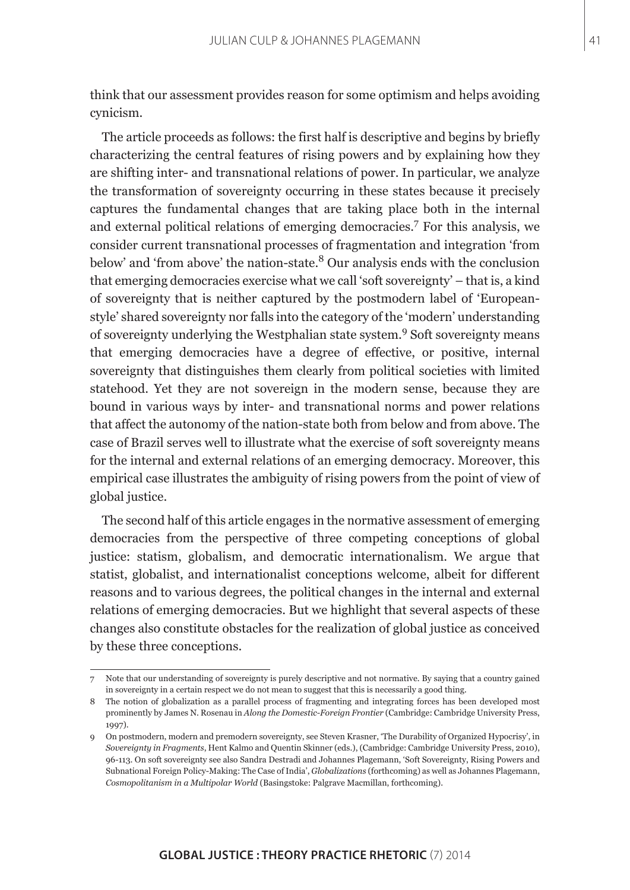think that our assessment provides reason for some optimism and helps avoiding cynicism.

The article proceeds as follows: the first half is descriptive and begins by briefly characterizing the central features of rising powers and by explaining how they are shifting inter- and transnational relations of power. In particular, we analyze the transformation of sovereignty occurring in these states because it precisely captures the fundamental changes that are taking place both in the internal and external political relations of emerging democracies.<sup>7</sup> For this analysis, we consider current transnational processes of fragmentation and integration 'from below' and 'from above' the nation-state.<sup>8</sup> Our analysis ends with the conclusion that emerging democracies exercise what we call 'soft sovereignty' – that is, a kind of sovereignty that is neither captured by the postmodern label of 'Europeanstyle' shared sovereignty nor falls into the category of the 'modern' understanding of sovereignty underlying the Westphalian state system.<sup>9</sup> Soft sovereignty means that emerging democracies have a degree of effective, or positive, internal sovereignty that distinguishes them clearly from political societies with limited statehood. Yet they are not sovereign in the modern sense, because they are bound in various ways by inter- and transnational norms and power relations that affect the autonomy of the nation-state both from below and from above. The case of Brazil serves well to illustrate what the exercise of soft sovereignty means for the internal and external relations of an emerging democracy. Moreover, this empirical case illustrates the ambiguity of rising powers from the point of view of global justice.

The second half of this article engages in the normative assessment of emerging democracies from the perspective of three competing conceptions of global justice: statism, globalism, and democratic internationalism. We argue that statist, globalist, and internationalist conceptions welcome, albeit for different reasons and to various degrees, the political changes in the internal and external relations of emerging democracies. But we highlight that several aspects of these changes also constitute obstacles for the realization of global justice as conceived by these three conceptions.

<sup>7</sup> Note that our understanding of sovereignty is purely descriptive and not normative. By saying that a country gained in sovereignty in a certain respect we do not mean to suggest that this is necessarily a good thing.

<sup>8</sup> The notion of globalization as a parallel process of fragmenting and integrating forces has been developed most prominently by James N. Rosenau in *Along the Domestic-Foreign Frontier* (Cambridge: Cambridge University Press, 1997).

<sup>9</sup> On postmodern, modern and premodern sovereignty, see Steven Krasner, 'The Durability of Organized Hypocrisy', in *Sovereignty in Fragments*, Hent Kalmo and Quentin Skinner (eds.), (Cambridge: Cambridge University Press, 2010), 96-113. On soft sovereignty see also Sandra Destradi and Johannes Plagemann, 'Soft Sovereignty, Rising Powers and Subnational Foreign Policy-Making: The Case of India', *Globalizations* (forthcoming) as well as Johannes Plagemann, *Cosmopolitanism in a Multipolar World* (Basingstoke: Palgrave Macmillan, forthcoming).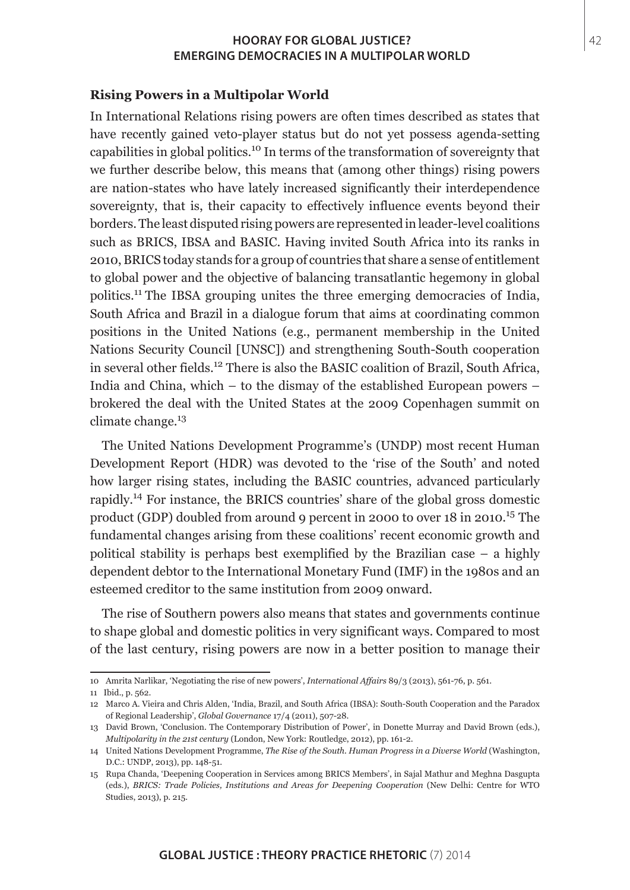#### **Rising Powers in a Multipolar World**

In International Relations rising powers are often times described as states that have recently gained veto-player status but do not yet possess agenda-setting capabilities in global politics.10 In terms of the transformation of sovereignty that we further describe below, this means that (among other things) rising powers are nation-states who have lately increased significantly their interdependence sovereignty, that is, their capacity to effectively influence events beyond their borders. The least disputed rising powers are represented in leader-level coalitions such as BRICS, IBSA and BASIC. Having invited South Africa into its ranks in 2010, BRICS today stands for a group of countries that share a sense of entitlement to global power and the objective of balancing transatlantic hegemony in global politics.<sup>11</sup> The IBSA grouping unites the three emerging democracies of India, South Africa and Brazil in a dialogue forum that aims at coordinating common positions in the United Nations (e.g., permanent membership in the United Nations Security Council [UNSC]) and strengthening South-South cooperation in several other fields.12 There is also the BASIC coalition of Brazil, South Africa, India and China, which – to the dismay of the established European powers – brokered the deal with the United States at the 2009 Copenhagen summit on climate change. $13$ 

The United Nations Development Programme's (UNDP) most recent Human Development Report (HDR) was devoted to the 'rise of the South' and noted how larger rising states, including the BASIC countries, advanced particularly rapidly.14 For instance, the BRICS countries' share of the global gross domestic product (GDP) doubled from around 9 percent in 2000 to over  $18$  in 2010.<sup>15</sup> The fundamental changes arising from these coalitions' recent economic growth and political stability is perhaps best exemplified by the Brazilian case – a highly dependent debtor to the International Monetary Fund (IMF) in the 1980s and an esteemed creditor to the same institution from 2009 onward.

The rise of Southern powers also means that states and governments continue to shape global and domestic politics in very significant ways. Compared to most of the last century, rising powers are now in a better position to manage their

<sup>10</sup> Amrita Narlikar, 'Negotiating the rise of new powers', *International Affairs* 89/3 (2013), 561-76, p. 561.

<sup>11</sup> Ibid., p. 562.

<sup>12</sup> Marco A. Vieira and Chris Alden, 'India, Brazil, and South Africa (IBSA): South-South Cooperation and the Paradox of Regional Leadership', *Global Governance* 17/4 (2011), 507-28.

<sup>13</sup> David Brown, 'Conclusion. The Contemporary Distribution of Power', in Donette Murray and David Brown (eds.), *Multipolarity in the 21st century* (London, New York: Routledge, 2012), pp. 161-2.

<sup>14</sup> United Nations Development Programme, *The Rise of the South. Human Progress in a Diverse World* (Washington, D.C.: UNDP, 2013), pp. 148-51.

<sup>15</sup> Rupa Chanda, 'Deepening Cooperation in Services among BRICS Members', in Sajal Mathur and Meghna Dasgupta (eds.), *BRICS: Trade Policies, Institutions and Areas for Deepening Cooperation* (New Delhi: Centre for WTO Studies, 2013), p. 215.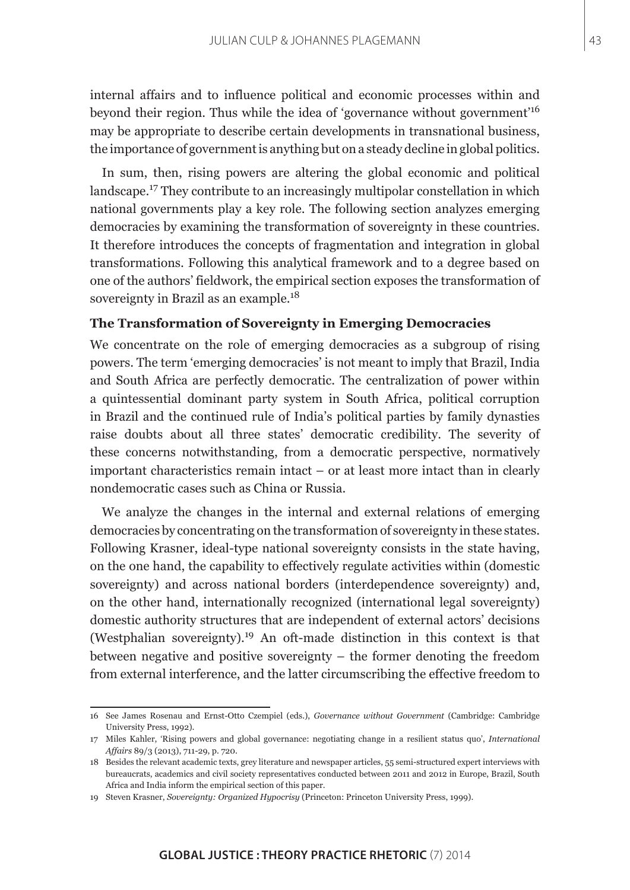internal affairs and to influence political and economic processes within and beyond their region. Thus while the idea of 'governance without government'<sup>16</sup> may be appropriate to describe certain developments in transnational business, the importance of government is anything but on a steady decline in global politics.

In sum, then, rising powers are altering the global economic and political landscape.17 They contribute to an increasingly multipolar constellation in which national governments play a key role. The following section analyzes emerging democracies by examining the transformation of sovereignty in these countries. It therefore introduces the concepts of fragmentation and integration in global transformations. Following this analytical framework and to a degree based on one of the authors' fieldwork, the empirical section exposes the transformation of sovereignty in Brazil as an example.<sup>18</sup>

## **The Transformation of Sovereignty in Emerging Democracies**

We concentrate on the role of emerging democracies as a subgroup of rising powers. The term 'emerging democracies' is not meant to imply that Brazil, India and South Africa are perfectly democratic. The centralization of power within a quintessential dominant party system in South Africa, political corruption in Brazil and the continued rule of India's political parties by family dynasties raise doubts about all three states' democratic credibility. The severity of these concerns notwithstanding, from a democratic perspective, normatively important characteristics remain intact – or at least more intact than in clearly nondemocratic cases such as China or Russia.

We analyze the changes in the internal and external relations of emerging democracies by concentrating on the transformation of sovereignty in these states. Following Krasner, ideal-type national sovereignty consists in the state having, on the one hand, the capability to effectively regulate activities within (domestic sovereignty) and across national borders (interdependence sovereignty) and, on the other hand, internationally recognized (international legal sovereignty) domestic authority structures that are independent of external actors' decisions (Westphalian sovereignty).<sup>19</sup> An oft-made distinction in this context is that between negative and positive sovereignty – the former denoting the freedom from external interference, and the latter circumscribing the effective freedom to

<sup>16</sup> See James Rosenau and Ernst-Otto Czempiel (eds.), *Governance without Government* (Cambridge: Cambridge University Press, 1992).

<sup>17</sup> Miles Kahler, 'Rising powers and global governance: negotiating change in a resilient status quo', *International Affairs* 89/3 (2013), 711-29, p. 720.

<sup>18</sup> Besides the relevant academic texts, grey literature and newspaper articles, 55 semi-structured expert interviews with bureaucrats, academics and civil society representatives conducted between 2011 and 2012 in Europe, Brazil, South Africa and India inform the empirical section of this paper.

<sup>19</sup> Steven Krasner, *Sovereignty: Organized Hypocrisy* (Princeton: Princeton University Press, 1999).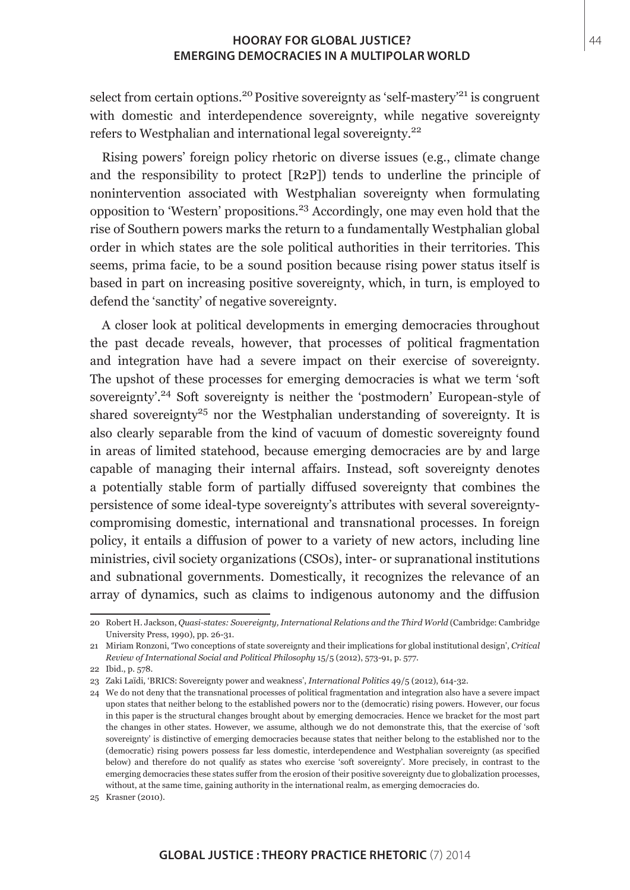select from certain options.<sup>20</sup> Positive sovereignty as 'self-mastery'<sup>21</sup> is congruent with domestic and interdependence sovereignty, while negative sovereignty refers to Westphalian and international legal sovereignty.<sup>22</sup>

Rising powers' foreign policy rhetoric on diverse issues (e.g., climate change and the responsibility to protect [R2P]) tends to underline the principle of nonintervention associated with Westphalian sovereignty when formulating opposition to 'Western' propositions.23 Accordingly, one may even hold that the rise of Southern powers marks the return to a fundamentally Westphalian global order in which states are the sole political authorities in their territories. This seems, prima facie, to be a sound position because rising power status itself is based in part on increasing positive sovereignty, which, in turn, is employed to defend the 'sanctity' of negative sovereignty.

A closer look at political developments in emerging democracies throughout the past decade reveals, however, that processes of political fragmentation and integration have had a severe impact on their exercise of sovereignty. The upshot of these processes for emerging democracies is what we term 'soft sovereignty'.<sup>24</sup> Soft sovereignty is neither the 'postmodern' European-style of shared sovereignty<sup>25</sup> nor the Westphalian understanding of sovereignty. It is also clearly separable from the kind of vacuum of domestic sovereignty found in areas of limited statehood, because emerging democracies are by and large capable of managing their internal affairs. Instead, soft sovereignty denotes a potentially stable form of partially diffused sovereignty that combines the persistence of some ideal-type sovereignty's attributes with several sovereigntycompromising domestic, international and transnational processes. In foreign policy, it entails a diffusion of power to a variety of new actors, including line ministries, civil society organizations (CSOs), inter- or supranational institutions and subnational governments. Domestically, it recognizes the relevance of an array of dynamics, such as claims to indigenous autonomy and the diffusion

<sup>20</sup> Robert H. Jackson, *Quasi-states: Sovereignty, International Relations and the Third World* (Cambridge: Cambridge University Press, 1990), pp. 26-31.

<sup>21</sup> Miriam Ronzoni, 'Two conceptions of state sovereignty and their implications for global institutional design', *Critical Review of International Social and Political Philosophy* 15/5 (2012), 573-91, p. 577.

<sup>22</sup> Ibid., p. 578.

<sup>23</sup> Zaki Laïdi, 'BRICS: Sovereignty power and weakness', *International Politics* 49/5 (2012), 614-32.

<sup>24</sup> We do not deny that the transnational processes of political fragmentation and integration also have a severe impact upon states that neither belong to the established powers nor to the (democratic) rising powers. However, our focus in this paper is the structural changes brought about by emerging democracies. Hence we bracket for the most part the changes in other states. However, we assume, although we do not demonstrate this, that the exercise of 'soft sovereignty' is distinctive of emerging democracies because states that neither belong to the established nor to the (democratic) rising powers possess far less domestic, interdependence and Westphalian sovereignty (as specified below) and therefore do not qualify as states who exercise 'soft sovereignty'. More precisely, in contrast to the emerging democracies these states suffer from the erosion of their positive sovereignty due to globalization processes, without, at the same time, gaining authority in the international realm, as emerging democracies do.

<sup>25</sup> Krasner (2010).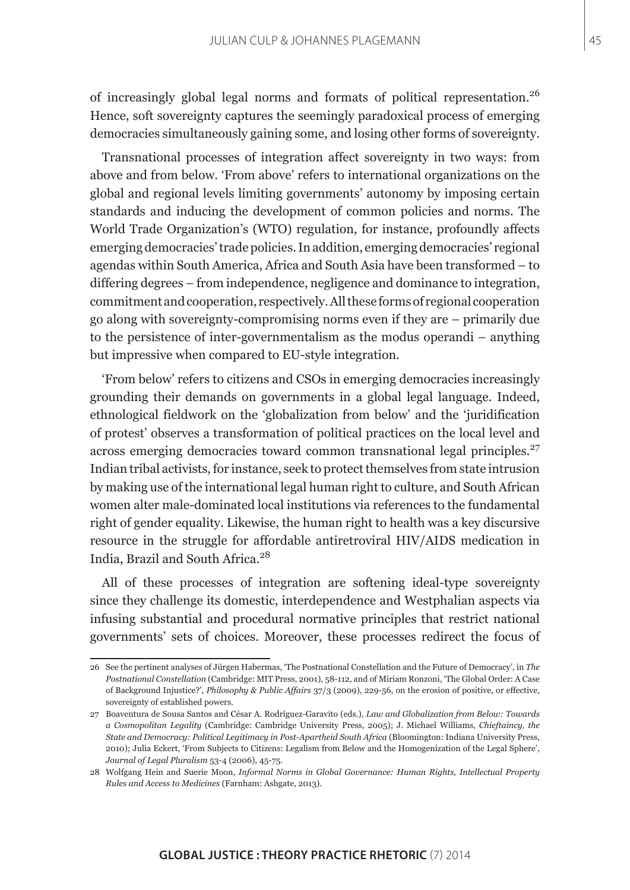of increasingly global legal norms and formats of political representation.<sup>26</sup> Hence, soft sovereignty captures the seemingly paradoxical process of emerging democracies simultaneously gaining some, and losing other forms of sovereignty.

Transnational processes of integration affect sovereignty in two ways: from above and from below. 'From above' refers to international organizations on the global and regional levels limiting governments' autonomy by imposing certain standards and inducing the development of common policies and norms. The World Trade Organization's (WTO) regulation, for instance, profoundly affects emerging democracies' trade policies. In addition, emerging democracies' regional agendas within South America, Africa and South Asia have been transformed – to differing degrees – from independence, negligence and dominance to integration, commitment and cooperation, respectively. All these forms of regional cooperation go along with sovereignty-compromising norms even if they are – primarily due to the persistence of inter-governmentalism as the modus operandi – anything but impressive when compared to EU-style integration.

'From below' refers to citizens and CSOs in emerging democracies increasingly grounding their demands on governments in a global legal language. Indeed, ethnological fieldwork on the 'globalization from below' and the 'juridification of protest' observes a transformation of political practices on the local level and across emerging democracies toward common transnational legal principles.<sup>27</sup> Indian tribal activists, for instance, seek to protect themselves from state intrusion by making use of the international legal human right to culture, and South African women alter male-dominated local institutions via references to the fundamental right of gender equality. Likewise, the human right to health was a key discursive resource in the struggle for affordable antiretroviral HIV/AIDS medication in India, Brazil and South Africa.<sup>28</sup>

All of these processes of integration are softening ideal-type sovereignty since they challenge its domestic, interdependence and Westphalian aspects via infusing substantial and procedural normative principles that restrict national governments' sets of choices. Moreover, these processes redirect the focus of

<sup>26</sup> See the pertinent analyses of Jürgen Habermas, 'The Postnational Constellation and the Future of Democracy', in *The Postnational Constellation* (Cambridge: MIT Press, 2001), 58-112, and of Miriam Ronzoni, 'The Global Order: A Case of Background Injustice?', *Philosophy & Public Affairs* 37/3 (2009), 229-56, on the erosion of positive, or effective, sovereignty of established powers.

<sup>27</sup> Boaventura de Sousa Santos and César A. Rodríguez-Garavito (eds.), *Law and Globalization from Below: Towards a Cosmopolitan Legality* (Cambridge: Cambridge University Press, 2005); J. Michael Williams, *Chieftaincy, the State and Democracy: Political Legitimacy in Post-Apartheid South Africa* (Bloomington: Indiana University Press, 2010); Julia Eckert, 'From Subjects to Citizens: Legalism from Below and the Homogenization of the Legal Sphere', *Journal of Legal Pluralism* 53-4 (2006), 45-75.

<sup>28</sup> Wolfgang Hein and Suerie Moon, *Informal Norms in Global Governance: Human Rights, Intellectual Property Rules and Access to Medicines* (Farnham: Ashgate, 2013).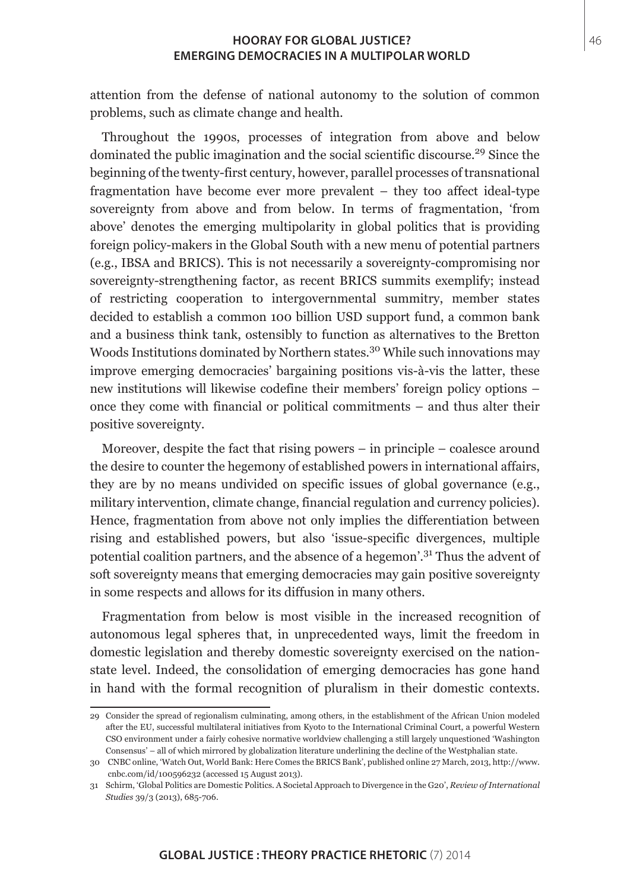attention from the defense of national autonomy to the solution of common problems, such as climate change and health.

Throughout the 1990s, processes of integration from above and below dominated the public imagination and the social scientific discourse.<sup>29</sup> Since the beginning of the twenty-first century, however, parallel processes of transnational fragmentation have become ever more prevalent – they too affect ideal-type sovereignty from above and from below. In terms of fragmentation, 'from above' denotes the emerging multipolarity in global politics that is providing foreign policy-makers in the Global South with a new menu of potential partners (e.g., IBSA and BRICS). This is not necessarily a sovereignty-compromising nor sovereignty-strengthening factor, as recent BRICS summits exemplify; instead of restricting cooperation to intergovernmental summitry, member states decided to establish a common 100 billion USD support fund, a common bank and a business think tank, ostensibly to function as alternatives to the Bretton Woods Institutions dominated by Northern states.<sup>30</sup> While such innovations may improve emerging democracies' bargaining positions vis-à-vis the latter, these new institutions will likewise codefine their members' foreign policy options – once they come with financial or political commitments – and thus alter their positive sovereignty.

Moreover, despite the fact that rising powers – in principle – coalesce around the desire to counter the hegemony of established powers in international affairs, they are by no means undivided on specific issues of global governance (e.g., military intervention, climate change, financial regulation and currency policies). Hence, fragmentation from above not only implies the differentiation between rising and established powers, but also 'issue-specific divergences, multiple potential coalition partners, and the absence of a hegemon'.31 Thus the advent of soft sovereignty means that emerging democracies may gain positive sovereignty in some respects and allows for its diffusion in many others.

Fragmentation from below is most visible in the increased recognition of autonomous legal spheres that, in unprecedented ways, limit the freedom in domestic legislation and thereby domestic sovereignty exercised on the nationstate level. Indeed, the consolidation of emerging democracies has gone hand in hand with the formal recognition of pluralism in their domestic contexts.

<sup>29</sup> Consider the spread of regionalism culminating, among others, in the establishment of the African Union modeled after the EU, successful multilateral initiatives from Kyoto to the International Criminal Court, a powerful Western CSO environment under a fairly cohesive normative worldview challenging a still largely unquestioned 'Washington Consensus' – all of which mirrored by globalization literature underlining the decline of the Westphalian state.

<sup>30</sup> CNBC online, 'Watch Out, World Bank: Here Comes the BRICS Bank', published online 27 March, 2013, http://www. cnbc.com/id/100596232 (accessed 15 August 2013).

<sup>31</sup> Schirm, 'Global Politics are Domestic Politics. A Societal Approach to Divergence in the G20', *Review of International Studies* 39/3 (2013), 685-706.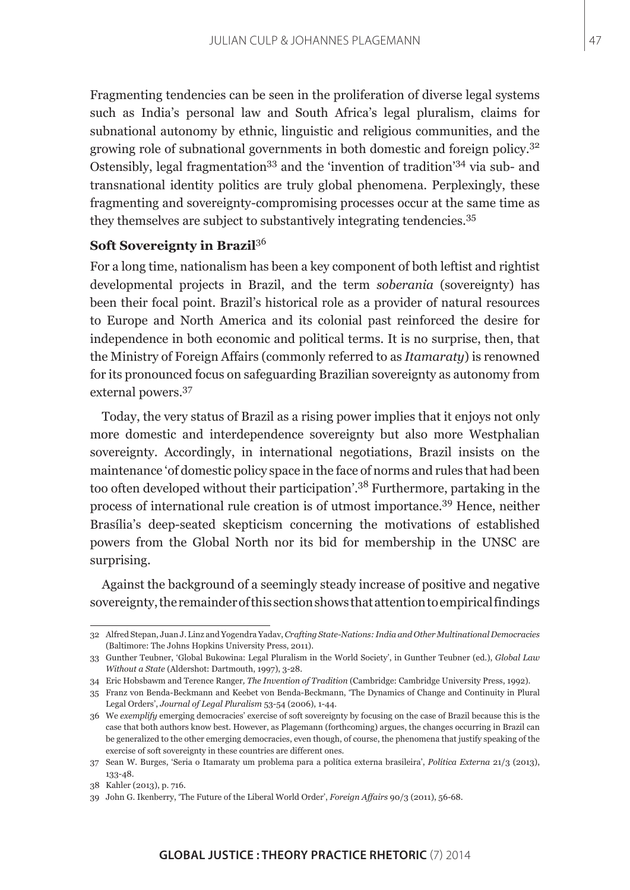Fragmenting tendencies can be seen in the proliferation of diverse legal systems such as India's personal law and South Africa's legal pluralism, claims for subnational autonomy by ethnic, linguistic and religious communities, and the growing role of subnational governments in both domestic and foreign policy.<sup>32</sup> Ostensibly, legal fragmentation<sup>33</sup> and the 'invention of tradition<sup>'34</sup> via sub- and transnational identity politics are truly global phenomena. Perplexingly, these fragmenting and sovereignty-compromising processes occur at the same time as they themselves are subject to substantively integrating tendencies.<sup>35</sup>

# **Soft Sovereignty in Brazil**<sup>36</sup>

For a long time, nationalism has been a key component of both leftist and rightist developmental projects in Brazil, and the term *soberania* (sovereignty) has been their focal point. Brazil's historical role as a provider of natural resources to Europe and North America and its colonial past reinforced the desire for independence in both economic and political terms. It is no surprise, then, that the Ministry of Foreign Affairs (commonly referred to as *Itamaraty*) is renowned for its pronounced focus on safeguarding Brazilian sovereignty as autonomy from external powers.<sup>37</sup>

Today, the very status of Brazil as a rising power implies that it enjoys not only more domestic and interdependence sovereignty but also more Westphalian sovereignty. Accordingly, in international negotiations, Brazil insists on the maintenance 'of domestic policy space in the face of norms and rules that had been too often developed without their participation'.38 Furthermore, partaking in the process of international rule creation is of utmost importance.39 Hence, neither Brasília's deep-seated skepticism concerning the motivations of established powers from the Global North nor its bid for membership in the UNSC are surprising.

Against the background of a seemingly steady increase of positive and negative sovereignty, the remainder of this section shows that attention to empirical findings

<sup>32</sup> Alfred Stepan, Juan J. Linz and Yogendra Yadav, *Crafting State-Nations: India and Other Multinational Democracies*  (Baltimore: The Johns Hopkins University Press, 2011).

<sup>33</sup> Gunther Teubner, 'Global Bukowina: Legal Pluralism in the World Society', in Gunther Teubner (ed.), *Global Law Without a State* (Aldershot: Dartmouth, 1997), 3-28.

<sup>34</sup> Eric Hobsbawm and Terence Ranger*, The Invention of Tradition* (Cambridge: Cambridge University Press, 1992).

<sup>35</sup> Franz von Benda-Beckmann and Keebet von Benda-Beckmann, 'The Dynamics of Change and Continuity in Plural Legal Orders', *Journal of Legal Pluralism* 53-54 (2006), 1-44.

<sup>36</sup> We *exemplify* emerging democracies' exercise of soft sovereignty by focusing on the case of Brazil because this is the case that both authors know best. However, as Plagemann (forthcoming) argues, the changes occurring in Brazil can be generalized to the other emerging democracies, even though, of course, the phenomena that justify speaking of the exercise of soft sovereignty in these countries are different ones.

<sup>37</sup> Sean W. Burges, 'Seria o Itamaraty um problema para a política externa brasileira', *Política Externa* 21/3 (2013), 133-48.

<sup>38</sup> Kahler (2013), p. 716.

<sup>39</sup> John G. Ikenberry, 'The Future of the Liberal World Order', *Foreign Affairs* 90/3 (2011), 56-68.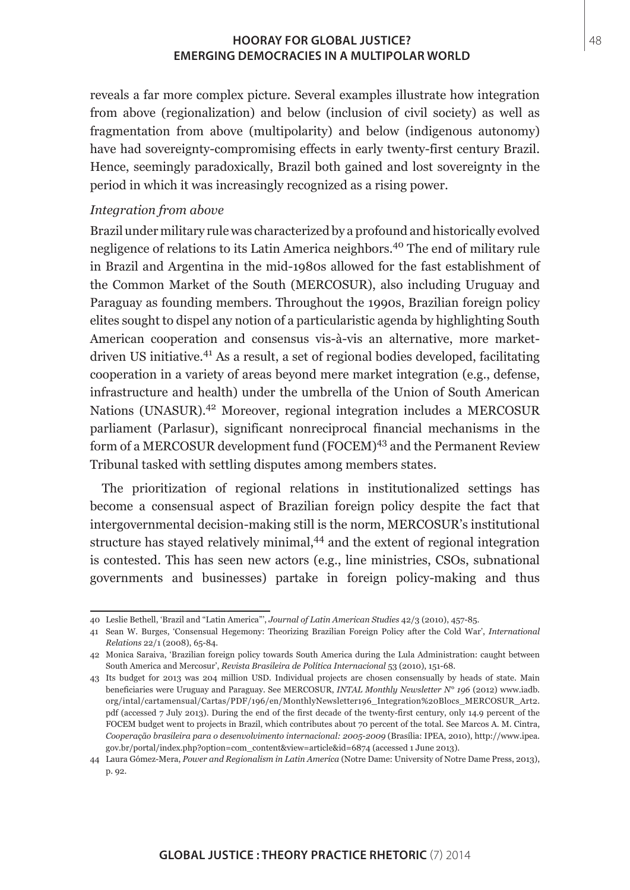reveals a far more complex picture. Several examples illustrate how integration from above (regionalization) and below (inclusion of civil society) as well as fragmentation from above (multipolarity) and below (indigenous autonomy) have had sovereignty-compromising effects in early twenty-first century Brazil. Hence, seemingly paradoxically, Brazil both gained and lost sovereignty in the period in which it was increasingly recognized as a rising power.

## *Integration from above*

Brazil under military rule was characterized by a profound and historically evolved negligence of relations to its Latin America neighbors.<sup>40</sup> The end of military rule in Brazil and Argentina in the mid-1980s allowed for the fast establishment of the Common Market of the South (MERCOSUR), also including Uruguay and Paraguay as founding members. Throughout the 1990s, Brazilian foreign policy elites sought to dispel any notion of a particularistic agenda by highlighting South American cooperation and consensus vis-à-vis an alternative, more marketdriven US initiative.41 As a result, a set of regional bodies developed, facilitating cooperation in a variety of areas beyond mere market integration (e.g., defense, infrastructure and health) under the umbrella of the Union of South American Nations (UNASUR).42 Moreover, regional integration includes a MERCOSUR parliament (Parlasur), significant nonreciprocal financial mechanisms in the form of a MERCOSUR development fund (FOCEM)<sup>43</sup> and the Permanent Review Tribunal tasked with settling disputes among members states.

The prioritization of regional relations in institutionalized settings has become a consensual aspect of Brazilian foreign policy despite the fact that intergovernmental decision-making still is the norm, MERCOSUR's institutional structure has stayed relatively minimal,<sup>44</sup> and the extent of regional integration is contested. This has seen new actors (e.g., line ministries, CSOs, subnational governments and businesses) partake in foreign policy-making and thus

<sup>40</sup> Leslie Bethell, 'Brazil and "Latin America"', *Journal of Latin American Studies* 42/3 (2010), 457-85.

<sup>41</sup> Sean W. Burges, 'Consensual Hegemony: Theorizing Brazilian Foreign Policy after the Cold War', *International Relations* 22/1 (2008), 65-84.

<sup>42</sup> Monica Saraiva, 'Brazilian foreign policy towards South America during the Lula Administration: caught between South America and Mercosur', *Revista Brasileira de Política Internacional* 53 (2010), 151-68.

<sup>43</sup> Its budget for 2013 was 204 million USD. Individual projects are chosen consensually by heads of state. Main beneficiaries were Uruguay and Paraguay. See MERCOSUR, *INTAL Monthly Newsletter N° 196* (2012) www.iadb. org/intal/cartamensual/Cartas/PDF/196/en/MonthlyNewsletter196\_Integration%20Blocs\_MERCOSUR\_Art2. pdf (accessed 7 July 2013). During the end of the first decade of the twenty-first century, only 14.9 percent of the FOCEM budget went to projects in Brazil, which contributes about 70 percent of the total. See Marcos A. M. Cintra, *Cooperação brasileira para o desenvolvimento internacional: 2005-2009* (Brasília: IPEA, 2010), http://www.ipea. gov.br/portal/index.php?option=com\_content&view=article&id=6874 (accessed 1 June 2013).

<sup>44</sup> Laura Gómez-Mera, *Power and Regionalism in Latin America* (Notre Dame: University of Notre Dame Press, 2013), p. 92.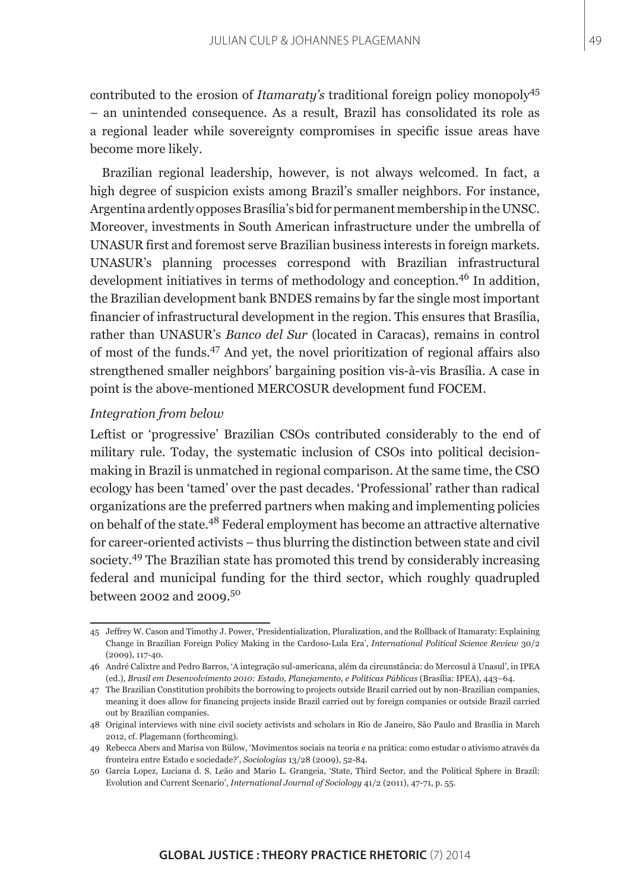contributed to the erosion of *Itamaraty's* traditional foreign policy monopoly<sup>45</sup> – an unintended consequence. As a result, Brazil has consolidated its role as a regional leader while sovereignty compromises in specific issue areas have become more likely.

Brazilian regional leadership, however, is not always welcomed. In fact, a high degree of suspicion exists among Brazil's smaller neighbors. For instance, Argentina ardently opposes Brasília's bid for permanent membership in the UNSC. Moreover, investments in South American infrastructure under the umbrella of UNASUR first and foremost serve Brazilian business interests in foreign markets. UNASUR's planning processes correspond with Brazilian infrastructural development initiatives in terms of methodology and conception.<sup>46</sup> In addition. the Brazilian development bank BNDES remains by far the single most important financier of infrastructural development in the region. This ensures that Brasília, rather than UNASUR's *Banco del Sur* (located in Caracas), remains in control of most of the funds.47 And yet, the novel prioritization of regional affairs also strengthened smaller neighbors' bargaining position vis-à-vis Brasília. A case in point is the above-mentioned MERCOSUR development fund FOCEM.

## *Integration from below*

Leftist or 'progressive' Brazilian CSOs contributed considerably to the end of military rule. Today, the systematic inclusion of CSOs into political decisionmaking in Brazil is unmatched in regional comparison. At the same time, the CSO ecology has been 'tamed' over the past decades. 'Professional' rather than radical organizations are the preferred partners when making and implementing policies on behalf of the state.48 Federal employment has become an attractive alternative for career-oriented activists – thus blurring the distinction between state and civil society.49 The Brazilian state has promoted this trend by considerably increasing federal and municipal funding for the third sector, which roughly quadrupled between 2002 and 2009.50

<sup>45</sup> Jeffrey W. Cason and Timothy J. Power, 'Presidentialization, Pluralization, and the Rollback of Itamaraty: Explaining Change in Brazilian Foreign Policy Making in the Cardoso-Lula Era', *International Political Science Review* 30/2 (2009), 117-40.

<sup>46</sup> André Calixtre and Pedro Barros, 'A integração sul-americana, além da circunstância: do Mercosul à Unasul', in IPEA (ed.), *Brasil em Desenvolvimento 2010: Estado, Planejamento, e Políticas Públicas* (Brasília: IPEA), 443–64.

<sup>47</sup> The Brazilian Constitution prohibits the borrowing to projects outside Brazil carried out by non-Brazilian companies, meaning it does allow for financing projects inside Brazil carried out by foreign companies or outside Brazil carried out by Brazilian companies.

<sup>48</sup> Original interviews with nine civil society activists and scholars in Rio de Janeiro, São Paulo and Brasília in March 2012, cf. Plagemann (forthcoming).

<sup>49</sup> Rebecca Abers and Marisa von Bülow, 'Movimentos sociais na teoria e na prática: como estudar o ativismo através da fronteira entre Estado e sociedade?', *Sociologias* 13/28 (2009), 52-84.

<sup>50</sup> Garcia Lopez, Luciana d. S. Leão and Mario L. Grangeia, 'State, Third Sector, and the Political Sphere in Brazil: Evolution and Current Scenario', *International Journal of Sociology* 41/2 (2011), 47-71, p. 55.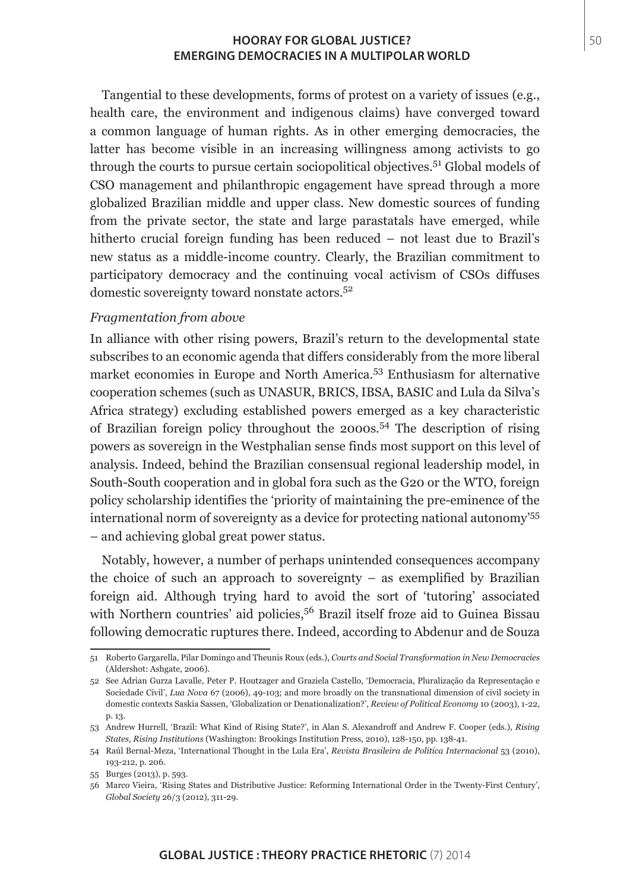Tangential to these developments, forms of protest on a variety of issues (e.g., health care, the environment and indigenous claims) have converged toward a common language of human rights. As in other emerging democracies, the latter has become visible in an increasing willingness among activists to go through the courts to pursue certain sociopolitical objectives.51 Global models of CSO management and philanthropic engagement have spread through a more globalized Brazilian middle and upper class. New domestic sources of funding from the private sector, the state and large parastatals have emerged, while hitherto crucial foreign funding has been reduced – not least due to Brazil's new status as a middle-income country. Clearly, the Brazilian commitment to participatory democracy and the continuing vocal activism of CSOs diffuses domestic sovereignty toward nonstate actors.<sup>52</sup>

## *Fragmentation from above*

In alliance with other rising powers, Brazil's return to the developmental state subscribes to an economic agenda that differs considerably from the more liberal market economies in Europe and North America.53 Enthusiasm for alternative cooperation schemes (such as UNASUR, BRICS, IBSA, BASIC and Lula da Silva's Africa strategy) excluding established powers emerged as a key characteristic of Brazilian foreign policy throughout the 2000s.54 The description of rising powers as sovereign in the Westphalian sense finds most support on this level of analysis. Indeed, behind the Brazilian consensual regional leadership model, in South-South cooperation and in global fora such as the G20 or the WTO, foreign policy scholarship identifies the 'priority of maintaining the pre-eminence of the international norm of sovereignty as a device for protecting national autonomy'<sup>55</sup> – and achieving global great power status.

Notably, however, a number of perhaps unintended consequences accompany the choice of such an approach to sovereignty – as exemplified by Brazilian foreign aid. Although trying hard to avoid the sort of 'tutoring' associated with Northern countries' aid policies,<sup>56</sup> Brazil itself froze aid to Guinea Bissau following democratic ruptures there. Indeed, according to Abdenur and de Souza

<sup>51</sup> Roberto Gargarella, Pilar Domingo and Theunis Roux (eds.), *Courts and Social Transformation in New Democracies* (Aldershot: Ashgate, 2006).

<sup>52</sup> See Adrian Gurza Lavalle, Peter P. Houtzager and Graziela Castello, 'Democracia, Pluralização da Representação e Sociedade Civil', *Lua Nova* 67 (2006), 49-103; and more broadly on the transnational dimension of civil society in domestic contexts Saskia Sassen, 'Globalization or Denationalization?', *Review of Political Economy* 10 (2003), 1-22, p. 13.

<sup>53</sup> Andrew Hurrell, 'Brazil: What Kind of Rising State?', in Alan S. Alexandroff and Andrew F. Cooper (eds.), *Rising States, Rising Institutions* (Washington: Brookings Institution Press, 2010), 128-150, pp. 138-41.

<sup>54</sup> Raúl Bernal-Meza, 'International Thought in the Lula Era', *Revista Brasileira de Política Internacional* 53 (2010), 193-212, p. 206.

<sup>55</sup> Burges (2013), p. 593.

<sup>56</sup> Marco Vieira, 'Rising States and Distributive Justice: Reforming International Order in the Twenty-First Century', *Global Society* 26/3 (2012), 311-29.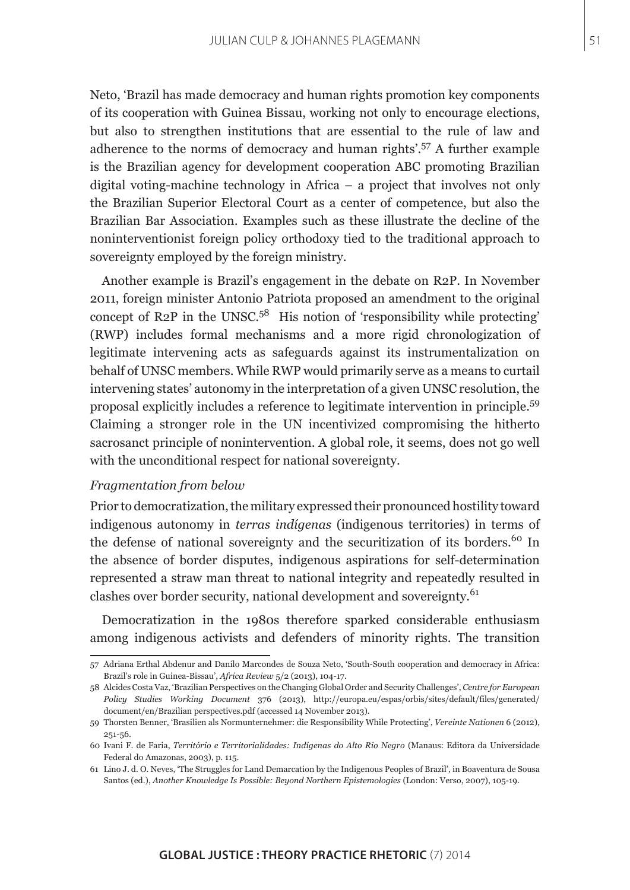Neto, 'Brazil has made democracy and human rights promotion key components of its cooperation with Guinea Bissau, working not only to encourage elections, but also to strengthen institutions that are essential to the rule of law and adherence to the norms of democracy and human rights'.57 A further example is the Brazilian agency for development cooperation ABC promoting Brazilian digital voting-machine technology in Africa – a project that involves not only the Brazilian Superior Electoral Court as a center of competence, but also the Brazilian Bar Association. Examples such as these illustrate the decline of the noninterventionist foreign policy orthodoxy tied to the traditional approach to sovereignty employed by the foreign ministry.

Another example is Brazil's engagement in the debate on R2P. In November 2011, foreign minister Antonio Patriota proposed an amendment to the original concept of R2P in the UNSC.<sup>58</sup> His notion of 'responsibility while protecting' (RWP) includes formal mechanisms and a more rigid chronologization of legitimate intervening acts as safeguards against its instrumentalization on behalf of UNSC members. While RWP would primarily serve as a means to curtail intervening states' autonomy in the interpretation of a given UNSC resolution, the proposal explicitly includes a reference to legitimate intervention in principle.<sup>59</sup> Claiming a stronger role in the UN incentivized compromising the hitherto sacrosanct principle of nonintervention. A global role, it seems, does not go well with the unconditional respect for national sovereignty.

## *Fragmentation from below*

Prior to democratization, the military expressed their pronounced hostility toward indigenous autonomy in *terras indígenas* (indigenous territories) in terms of the defense of national sovereignty and the securitization of its borders.<sup>60</sup> In the absence of border disputes, indigenous aspirations for self-determination represented a straw man threat to national integrity and repeatedly resulted in clashes over border security, national development and sovereignty.<sup>61</sup>

Democratization in the 1980s therefore sparked considerable enthusiasm among indigenous activists and defenders of minority rights. The transition

<sup>57</sup> Adriana Erthal Abdenur and Danilo Marcondes de Souza Neto, 'South-South cooperation and democracy in Africa: Brazil's role in Guinea-Bissau', *Africa Review* 5/2 (2013), 104-17.

<sup>58</sup> Alcides Costa Vaz, 'Brazilian Perspectives on the Changing Global Order and Security Challenges', *Centre for European Policy Studies Working Document* 376 (2013), http://europa.eu/espas/orbis/sites/default/files/generated/ document/en/Brazilian perspectives.pdf (accessed 14 November 2013).

<sup>59</sup> Thorsten Benner, 'Brasilien als Normunternehmer: die Responsibility While Protecting', *Vereinte Nationen* 6 (2012), 251-56.

<sup>60</sup> Ivani F. de Faria, *Território e Territorialidades: Indígenas do Alto Rio Negro* (Manaus: Editora da Universidade Federal do Amazonas, 2003), p. 115.

<sup>61</sup> Lino J. d. O. Neves, 'The Struggles for Land Demarcation by the Indigenous Peoples of Brazil', in Boaventura de Sousa Santos (ed.), *Another Knowledge Is Possible: Beyond Northern Epistemologies* (London: Verso, 2007), 105-19.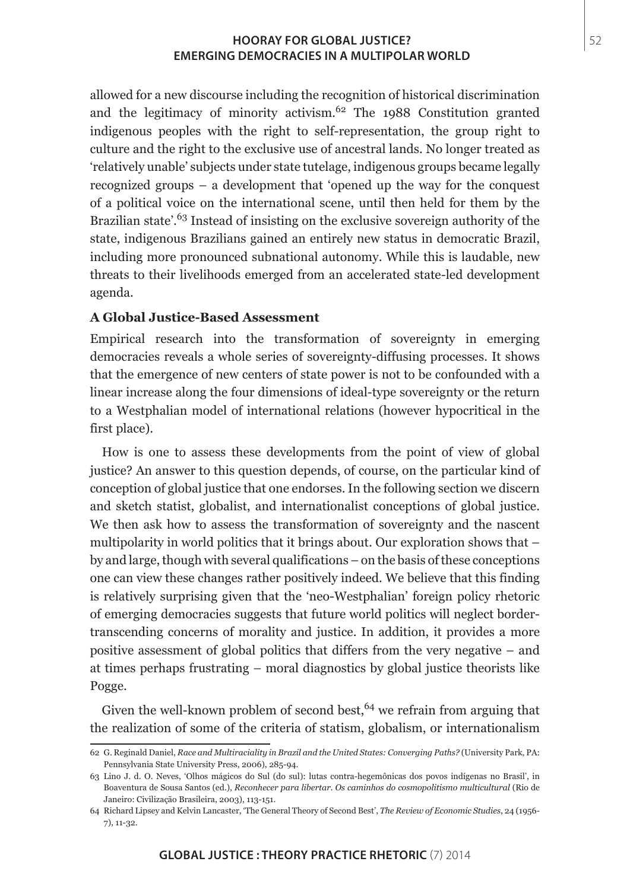allowed for a new discourse including the recognition of historical discrimination and the legitimacy of minority activism. $62$  The 1988 Constitution granted indigenous peoples with the right to self-representation, the group right to culture and the right to the exclusive use of ancestral lands. No longer treated as 'relatively unable' subjects under state tutelage, indigenous groups became legally recognized groups – a development that 'opened up the way for the conquest of a political voice on the international scene, until then held for them by the Brazilian state<sup>'.63</sup> Instead of insisting on the exclusive sovereign authority of the state, indigenous Brazilians gained an entirely new status in democratic Brazil, including more pronounced subnational autonomy. While this is laudable, new threats to their livelihoods emerged from an accelerated state-led development agenda.

## **A Global Justice-Based Assessment**

Empirical research into the transformation of sovereignty in emerging democracies reveals a whole series of sovereignty-diffusing processes. It shows that the emergence of new centers of state power is not to be confounded with a linear increase along the four dimensions of ideal-type sovereignty or the return to a Westphalian model of international relations (however hypocritical in the first place).

How is one to assess these developments from the point of view of global justice? An answer to this question depends, of course, on the particular kind of conception of global justice that one endorses. In the following section we discern and sketch statist, globalist, and internationalist conceptions of global justice. We then ask how to assess the transformation of sovereignty and the nascent multipolarity in world politics that it brings about. Our exploration shows that – by and large, though with several qualifications – on the basis of these conceptions one can view these changes rather positively indeed. We believe that this finding is relatively surprising given that the 'neo-Westphalian' foreign policy rhetoric of emerging democracies suggests that future world politics will neglect bordertranscending concerns of morality and justice. In addition, it provides a more positive assessment of global politics that differs from the very negative – and at times perhaps frustrating – moral diagnostics by global justice theorists like Pogge.

Given the well-known problem of second best,  $64$  we refrain from arguing that the realization of some of the criteria of statism, globalism, or internationalism

<sup>62</sup> G. Reginald Daniel, *Race and Multiraciality in Brazil and the United States: Converging Paths?* (University Park, PA: Pennsylvania State University Press, 2006), 285-94.

<sup>63</sup> Lino J. d. O. Neves, 'Olhos mágicos do Sul (do sul): lutas contra-hegemônicas dos povos indígenas no Brasil', in Boaventura de Sousa Santos (ed.), *Reconhecer para libertar. Os caminhos do cosmopolitismo multicultural* (Rio de Janeiro: Civilização Brasileira, 2003), 113-151.

<sup>64</sup> Richard Lipsey and Kelvin Lancaster, 'The General Theory of Second Best', *The Review of Economic Studies*, 24 (1956- 7), 11-32.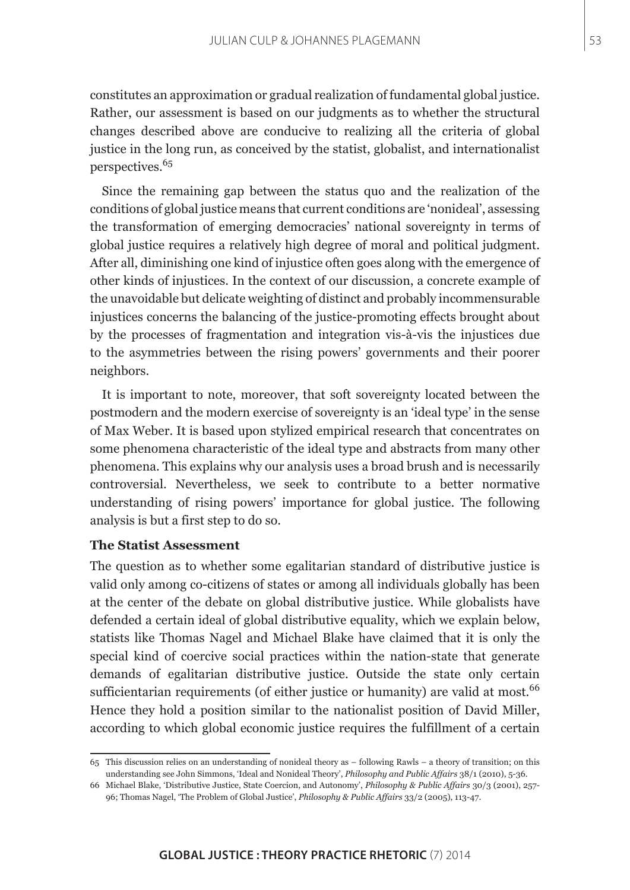constitutes an approximation or gradual realization of fundamental global justice. Rather, our assessment is based on our judgments as to whether the structural changes described above are conducive to realizing all the criteria of global justice in the long run, as conceived by the statist, globalist, and internationalist perspectives.<sup>65</sup>

Since the remaining gap between the status quo and the realization of the conditions of global justice means that current conditions are 'nonideal', assessing the transformation of emerging democracies' national sovereignty in terms of global justice requires a relatively high degree of moral and political judgment. After all, diminishing one kind of injustice often goes along with the emergence of other kinds of injustices. In the context of our discussion, a concrete example of the unavoidable but delicate weighting of distinct and probably incommensurable injustices concerns the balancing of the justice-promoting effects brought about by the processes of fragmentation and integration vis-à-vis the injustices due to the asymmetries between the rising powers' governments and their poorer neighbors.

It is important to note, moreover, that soft sovereignty located between the postmodern and the modern exercise of sovereignty is an 'ideal type' in the sense of Max Weber. It is based upon stylized empirical research that concentrates on some phenomena characteristic of the ideal type and abstracts from many other phenomena. This explains why our analysis uses a broad brush and is necessarily controversial. Nevertheless, we seek to contribute to a better normative understanding of rising powers' importance for global justice. The following analysis is but a first step to do so.

## **The Statist Assessment**

The question as to whether some egalitarian standard of distributive justice is valid only among co-citizens of states or among all individuals globally has been at the center of the debate on global distributive justice. While globalists have defended a certain ideal of global distributive equality, which we explain below, statists like Thomas Nagel and Michael Blake have claimed that it is only the special kind of coercive social practices within the nation-state that generate demands of egalitarian distributive justice. Outside the state only certain sufficientarian requirements (of either justice or humanity) are valid at most.<sup>66</sup> Hence they hold a position similar to the nationalist position of David Miller, according to which global economic justice requires the fulfillment of a certain

<sup>65</sup> This discussion relies on an understanding of nonideal theory as – following Rawls – a theory of transition; on this understanding see John Simmons, 'Ideal and Nonideal Theory', *Philosophy and Public Affairs* 38/1 (2010), 5-36.

<sup>66</sup> Michael Blake, 'Distributive Justice, State Coercion, and Autonomy', *Philosophy & Public Affairs* 30/3 (2001), 257- 96; Thomas Nagel, 'The Problem of Global Justice', *Philosophy & Public Affairs* 33/2 (2005), 113-47.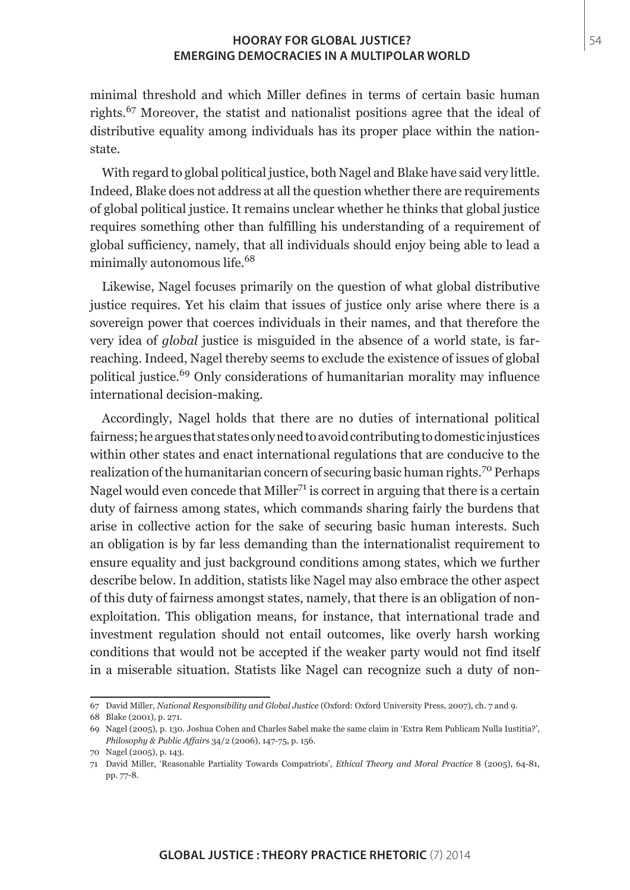minimal threshold and which Miller defines in terms of certain basic human rights.67 Moreover, the statist and nationalist positions agree that the ideal of distributive equality among individuals has its proper place within the nationstate.

With regard to global political justice, both Nagel and Blake have said very little. Indeed, Blake does not address at all the question whether there are requirements of global political justice. It remains unclear whether he thinks that global justice requires something other than fulfilling his understanding of a requirement of global sufficiency, namely, that all individuals should enjoy being able to lead a minimally autonomous life.<sup>68</sup>

Likewise, Nagel focuses primarily on the question of what global distributive justice requires. Yet his claim that issues of justice only arise where there is a sovereign power that coerces individuals in their names, and that therefore the very idea of *global* justice is misguided in the absence of a world state, is farreaching. Indeed, Nagel thereby seems to exclude the existence of issues of global political justice.69 Only considerations of humanitarian morality may influence international decision-making.

Accordingly, Nagel holds that there are no duties of international political fairness; he argues that states only need to avoid contributing to domestic injustices within other states and enact international regulations that are conducive to the realization of the humanitarian concern of securing basic human rights.<sup>70</sup> Perhaps Nagel would even concede that  $\text{Miller}^{71}$  is correct in arguing that there is a certain duty of fairness among states, which commands sharing fairly the burdens that arise in collective action for the sake of securing basic human interests. Such an obligation is by far less demanding than the internationalist requirement to ensure equality and just background conditions among states, which we further describe below. In addition, statists like Nagel may also embrace the other aspect of this duty of fairness amongst states, namely, that there is an obligation of nonexploitation. This obligation means, for instance, that international trade and investment regulation should not entail outcomes, like overly harsh working conditions that would not be accepted if the weaker party would not find itself in a miserable situation. Statists like Nagel can recognize such a duty of non-

<sup>67</sup> David Miller, *National Responsibility and Global Justice* (Oxford: Oxford University Press, 2007), ch. 7 and 9.

<sup>68</sup> Blake (2001), p. 271.

<sup>69</sup> Nagel (2005), p. 130. Joshua Cohen and Charles Sabel make the same claim in 'Extra Rem Publicam Nulla Iustitia?', *Philosophy & Public Affairs* 34/2 (2006), 147-75, p. 156.

<sup>70</sup> Nagel (2005), p. 143.

<sup>71</sup> David Miller, 'Reasonable Partiality Towards Compatriots', *Ethical Theory and Moral Practice* 8 (2005), 64-81, pp. 77-8.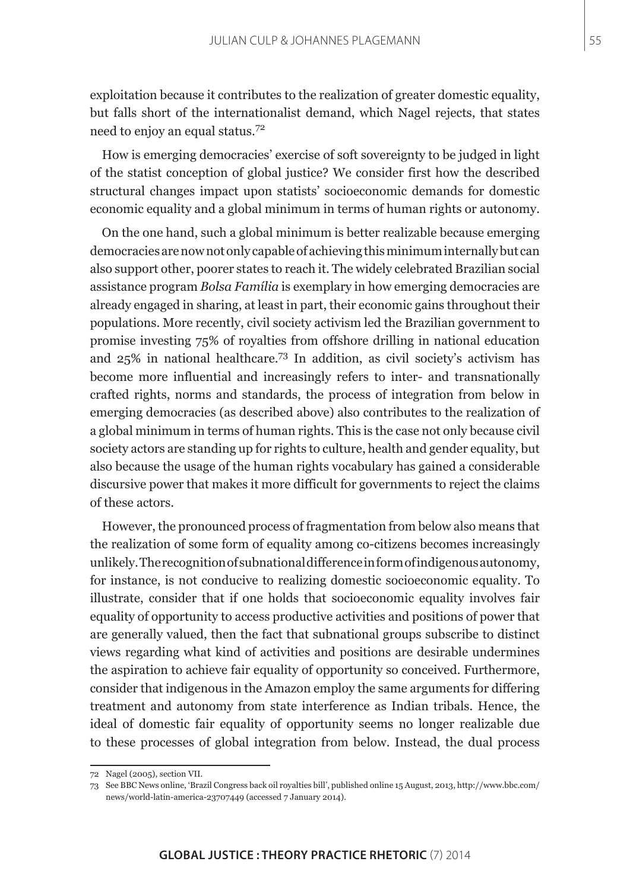exploitation because it contributes to the realization of greater domestic equality, but falls short of the internationalist demand, which Nagel rejects, that states need to enjoy an equal status.<sup>72</sup>

How is emerging democracies' exercise of soft sovereignty to be judged in light of the statist conception of global justice? We consider first how the described structural changes impact upon statists' socioeconomic demands for domestic economic equality and a global minimum in terms of human rights or autonomy.

On the one hand, such a global minimum is better realizable because emerging democracies are now not only capable of achieving this minimum internally but can also support other, poorer states to reach it. The widely celebrated Brazilian social assistance program *Bolsa Família* is exemplary in how emerging democracies are already engaged in sharing, at least in part, their economic gains throughout their populations. More recently, civil society activism led the Brazilian government to promise investing 75% of royalties from offshore drilling in national education and 25% in national healthcare.73 In addition, as civil society's activism has become more influential and increasingly refers to inter- and transnationally crafted rights, norms and standards, the process of integration from below in emerging democracies (as described above) also contributes to the realization of a global minimum in terms of human rights. This is the case not only because civil society actors are standing up for rights to culture, health and gender equality, but also because the usage of the human rights vocabulary has gained a considerable discursive power that makes it more difficult for governments to reject the claims of these actors.

However, the pronounced process of fragmentation from below also means that the realization of some form of equality among co-citizens becomes increasingly unlikely. The recognition of subnational difference in form of indigenous autonomy, for instance, is not conducive to realizing domestic socioeconomic equality. To illustrate, consider that if one holds that socioeconomic equality involves fair equality of opportunity to access productive activities and positions of power that are generally valued, then the fact that subnational groups subscribe to distinct views regarding what kind of activities and positions are desirable undermines the aspiration to achieve fair equality of opportunity so conceived. Furthermore, consider that indigenous in the Amazon employ the same arguments for differing treatment and autonomy from state interference as Indian tribals. Hence, the ideal of domestic fair equality of opportunity seems no longer realizable due to these processes of global integration from below. Instead, the dual process

<sup>72</sup> Nagel (2005), section VII.

<sup>73</sup> See BBC News online, 'Brazil Congress back oil royalties bill', published online 15 August, 2013, http://www.bbc.com/ news/world-latin-america-23707449 (accessed 7 January 2014).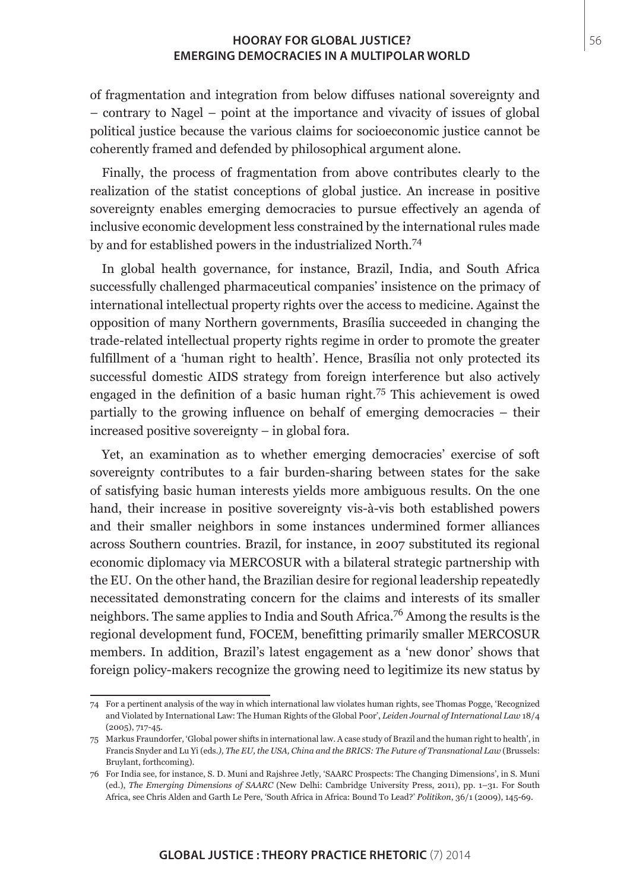of fragmentation and integration from below diffuses national sovereignty and – contrary to Nagel – point at the importance and vivacity of issues of global political justice because the various claims for socioeconomic justice cannot be coherently framed and defended by philosophical argument alone.

Finally, the process of fragmentation from above contributes clearly to the realization of the statist conceptions of global justice. An increase in positive sovereignty enables emerging democracies to pursue effectively an agenda of inclusive economic development less constrained by the international rules made by and for established powers in the industrialized North.<sup>74</sup>

In global health governance, for instance, Brazil, India, and South Africa successfully challenged pharmaceutical companies' insistence on the primacy of international intellectual property rights over the access to medicine. Against the opposition of many Northern governments, Brasília succeeded in changing the trade-related intellectual property rights regime in order to promote the greater fulfillment of a 'human right to health'. Hence, Brasília not only protected its successful domestic AIDS strategy from foreign interference but also actively engaged in the definition of a basic human right.75 This achievement is owed partially to the growing influence on behalf of emerging democracies – their increased positive sovereignty – in global fora.

Yet, an examination as to whether emerging democracies' exercise of soft sovereignty contributes to a fair burden-sharing between states for the sake of satisfying basic human interests yields more ambiguous results. On the one hand, their increase in positive sovereignty vis-à-vis both established powers and their smaller neighbors in some instances undermined former alliances across Southern countries. Brazil, for instance, in 2007 substituted its regional economic diplomacy via MERCOSUR with a bilateral strategic partnership with the EU. On the other hand, the Brazilian desire for regional leadership repeatedly necessitated demonstrating concern for the claims and interests of its smaller neighbors. The same applies to India and South Africa.76 Among the results is the regional development fund, FOCEM, benefitting primarily smaller MERCOSUR members. In addition, Brazil's latest engagement as a 'new donor' shows that foreign policy-makers recognize the growing need to legitimize its new status by

<sup>74</sup> For a pertinent analysis of the way in which international law violates human rights, see Thomas Pogge, 'Recognized and Violated by International Law: The Human Rights of the Global Poor', *Leiden Journal of International Law* 18/4 (2005), 717-45.

<sup>75</sup> Markus Fraundorfer, 'Global power shifts in international law. A case study of Brazil and the human right to health', in Francis Snyder and Lu Yi (eds*.), The EU, the USA, China and the BRICS: The Future of Transnational Law* (Brussels: Bruylant, forthcoming).

<sup>76</sup> For India see, for instance, S. D. Muni and Rajshree Jetly, 'SAARC Prospects: The Changing Dimensions', in S. Muni (ed.), *The Emerging Dimensions of SAARC* (New Delhi: Cambridge University Press, 2011), pp. 1–31. For South Africa, see Chris Alden and Garth Le Pere, 'South Africa in Africa: Bound To Lead?' *Politikon*, 36/1 (2009), 145-69.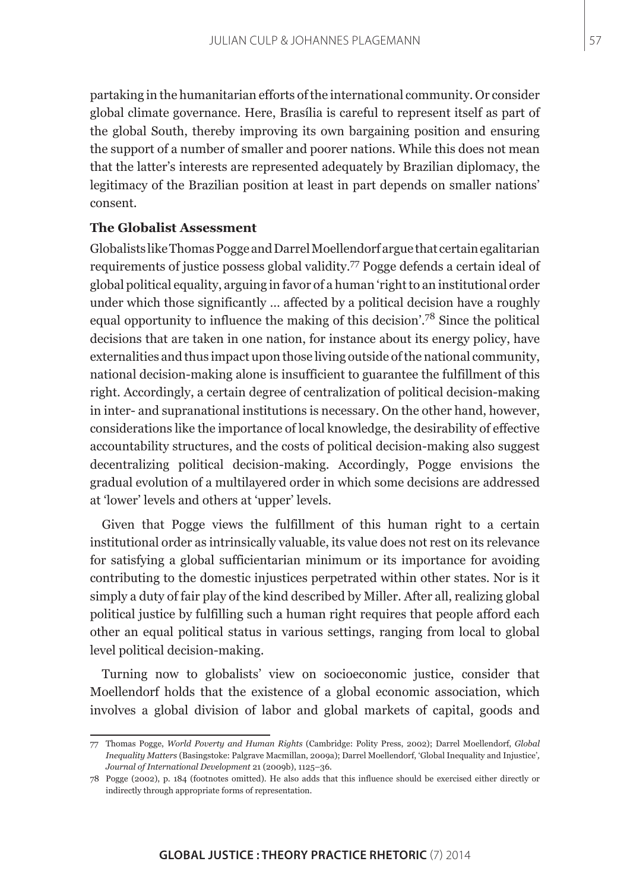partaking in the humanitarian efforts of the international community. Or consider global climate governance. Here, Brasília is careful to represent itself as part of the global South, thereby improving its own bargaining position and ensuring the support of a number of smaller and poorer nations. While this does not mean that the latter's interests are represented adequately by Brazilian diplomacy, the legitimacy of the Brazilian position at least in part depends on smaller nations' consent.

## **The Globalist Assessment**

Globalists like Thomas Pogge and Darrel Moellendorf argue that certain egalitarian requirements of justice possess global validity.77 Pogge defends a certain ideal of global political equality, arguing in favor of a human 'right to an institutional order under which those significantly … affected by a political decision have a roughly equal opportunity to influence the making of this decision'.78 Since the political decisions that are taken in one nation, for instance about its energy policy, have externalities and thus impact upon those living outside of the national community, national decision-making alone is insufficient to guarantee the fulfillment of this right. Accordingly, a certain degree of centralization of political decision-making in inter- and supranational institutions is necessary. On the other hand, however, considerations like the importance of local knowledge, the desirability of effective accountability structures, and the costs of political decision-making also suggest decentralizing political decision-making. Accordingly, Pogge envisions the gradual evolution of a multilayered order in which some decisions are addressed at 'lower' levels and others at 'upper' levels.

Given that Pogge views the fulfillment of this human right to a certain institutional order as intrinsically valuable, its value does not rest on its relevance for satisfying a global sufficientarian minimum or its importance for avoiding contributing to the domestic injustices perpetrated within other states. Nor is it simply a duty of fair play of the kind described by Miller. After all, realizing global political justice by fulfilling such a human right requires that people afford each other an equal political status in various settings, ranging from local to global level political decision-making.

Turning now to globalists' view on socioeconomic justice, consider that Moellendorf holds that the existence of a global economic association, which involves a global division of labor and global markets of capital, goods and

<sup>77</sup> Thomas Pogge, *World Poverty and Human Rights* (Cambridge: Polity Press, 2002); Darrel Moellendorf, *Global Inequality Matters* (Basingstoke: Palgrave Macmillan, 2009a); Darrel Moellendorf, 'Global Inequality and Injustice'*, Journal of International Development* 21 (2009b), 1125–36.

<sup>78</sup> Pogge (2002), p. 184 (footnotes omitted). He also adds that this influence should be exercised either directly or indirectly through appropriate forms of representation.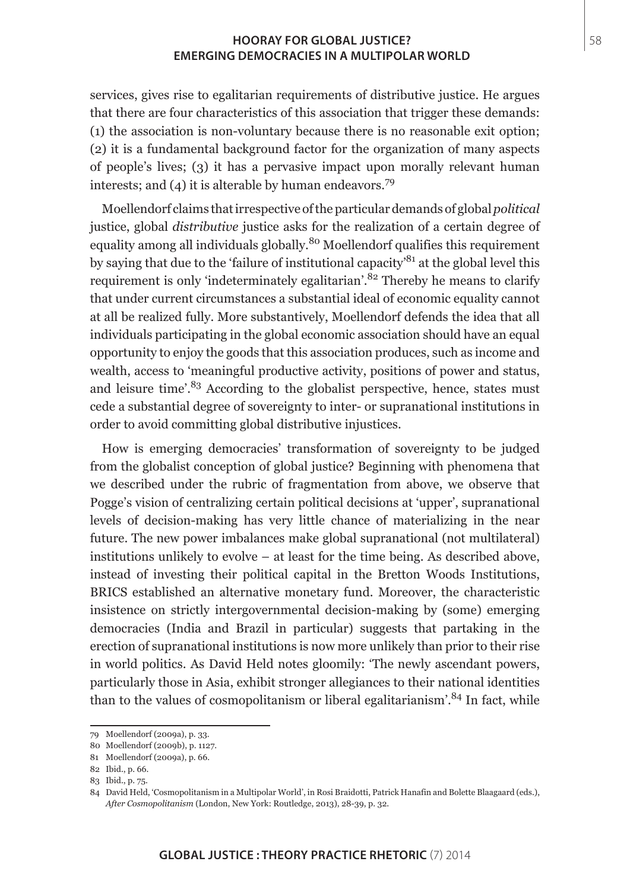services, gives rise to egalitarian requirements of distributive justice. He argues that there are four characteristics of this association that trigger these demands: (1) the association is non-voluntary because there is no reasonable exit option; (2) it is a fundamental background factor for the organization of many aspects of people's lives; (3) it has a pervasive impact upon morally relevant human interests; and (4) it is alterable by human endeavors.<sup>79</sup>

Moellendorf claims that irrespective of the particular demands of global *political* justice, global *distributive* justice asks for the realization of a certain degree of equality among all individuals globally.<sup>80</sup> Moellendorf qualifies this requirement by saying that due to the 'failure of institutional capacity'81 at the global level this requirement is only 'indeterminately egalitarian'.<sup>82</sup> Thereby he means to clarify that under current circumstances a substantial ideal of economic equality cannot at all be realized fully. More substantively, Moellendorf defends the idea that all individuals participating in the global economic association should have an equal opportunity to enjoy the goods that this association produces, such as income and wealth, access to 'meaningful productive activity, positions of power and status, and leisure time<sup>'.83</sup> According to the globalist perspective, hence, states must cede a substantial degree of sovereignty to inter- or supranational institutions in order to avoid committing global distributive injustices.

How is emerging democracies' transformation of sovereignty to be judged from the globalist conception of global justice? Beginning with phenomena that we described under the rubric of fragmentation from above, we observe that Pogge's vision of centralizing certain political decisions at 'upper', supranational levels of decision-making has very little chance of materializing in the near future. The new power imbalances make global supranational (not multilateral) institutions unlikely to evolve – at least for the time being. As described above, instead of investing their political capital in the Bretton Woods Institutions, BRICS established an alternative monetary fund. Moreover, the characteristic insistence on strictly intergovernmental decision-making by (some) emerging democracies (India and Brazil in particular) suggests that partaking in the erection of supranational institutions is now more unlikely than prior to their rise in world politics. As David Held notes gloomily: 'The newly ascendant powers, particularly those in Asia, exhibit stronger allegiances to their national identities than to the values of cosmopolitanism or liberal egalitarianism'. $84$  In fact, while

<sup>79</sup> Moellendorf (2009a), p. 33.

<sup>80</sup> Moellendorf (2009b), p. 1127.

<sup>81</sup> Moellendorf (2009a), p. 66.

<sup>82</sup> Ibid., p. 66.

<sup>83</sup> Ibid., p. 75.

<sup>84</sup> David Held, 'Cosmopolitanism in a Multipolar World', in Rosi Braidotti, Patrick Hanafin and Bolette Blaagaard (eds.), *After Cosmopolitanism* (London, New York: Routledge, 2013), 28-39, p. 32.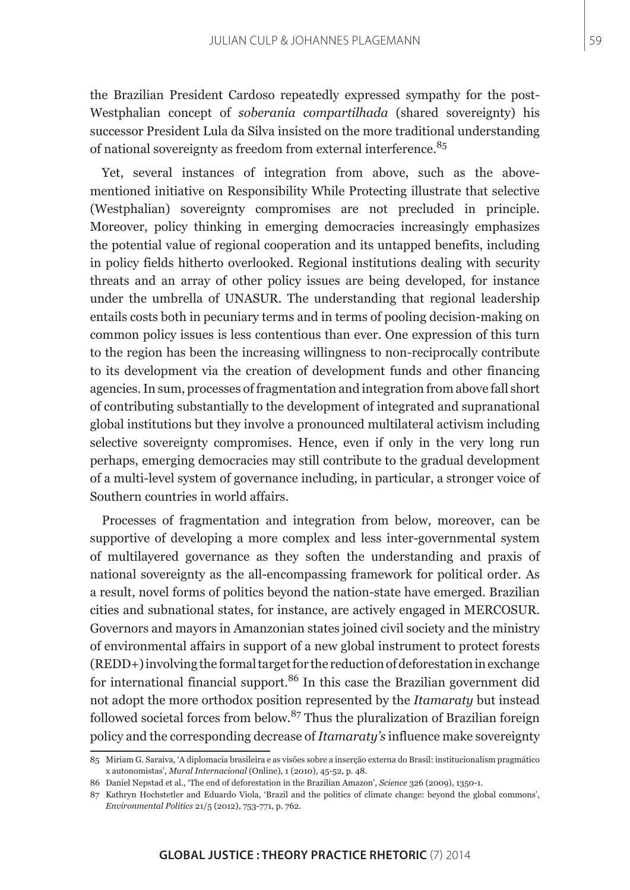59

the Brazilian President Cardoso repeatedly expressed sympathy for the post-Westphalian concept of *soberania compartilhada* (shared sovereignty) his successor President Lula da Silva insisted on the more traditional understanding of national sovereignty as freedom from external interference.<sup>85</sup>

Yet, several instances of integration from above, such as the abovementioned initiative on Responsibility While Protecting illustrate that selective (Westphalian) sovereignty compromises are not precluded in principle. Moreover, policy thinking in emerging democracies increasingly emphasizes the potential value of regional cooperation and its untapped benefits, including in policy fields hitherto overlooked. Regional institutions dealing with security threats and an array of other policy issues are being developed, for instance under the umbrella of UNASUR. The understanding that regional leadership entails costs both in pecuniary terms and in terms of pooling decision-making on common policy issues is less contentious than ever. One expression of this turn to the region has been the increasing willingness to non-reciprocally contribute to its development via the creation of development funds and other financing agencies. In sum, processes of fragmentation and integration from above fall short of contributing substantially to the development of integrated and supranational global institutions but they involve a pronounced multilateral activism including selective sovereignty compromises. Hence, even if only in the very long run perhaps, emerging democracies may still contribute to the gradual development of a multi-level system of governance including, in particular, a stronger voice of Southern countries in world affairs.

Processes of fragmentation and integration from below, moreover, can be supportive of developing a more complex and less inter-governmental system of multilayered governance as they soften the understanding and praxis of national sovereignty as the all-encompassing framework for political order. As a result, novel forms of politics beyond the nation-state have emerged. Brazilian cities and subnational states, for instance, are actively engaged in MERCOSUR. Governors and mayors in Amanzonian states joined civil society and the ministry of environmental affairs in support of a new global instrument to protect forests (REDD+) involving the formal target for the reduction of deforestation in exchange for international financial support.<sup>86</sup> In this case the Brazilian government did not adopt the more orthodox position represented by the *Itamaraty* but instead followed societal forces from below.87 Thus the pluralization of Brazilian foreign policy and the corresponding decrease of *Itamaraty's* influence make sovereignty

<sup>85</sup> Miriam G. Saraiva, 'A diplomacia brasileira e as visões sobre a inserção externa do Brasil: institucionalism pragmático x autonomistas', *Mural Internacional* (Online), 1 (2010), 45-52, p. 48.

<sup>86</sup> Daniel Nepstad et al., 'The end of deforestation in the Brazilian Amazon', *Science* 326 (2009), 1350-1.

<sup>87</sup> Kathryn Hochstetler and Eduardo Viola, 'Brazil and the politics of climate change: beyond the global commons', *Environmental Politics* 21/5 (2012), 753-771, p. 762.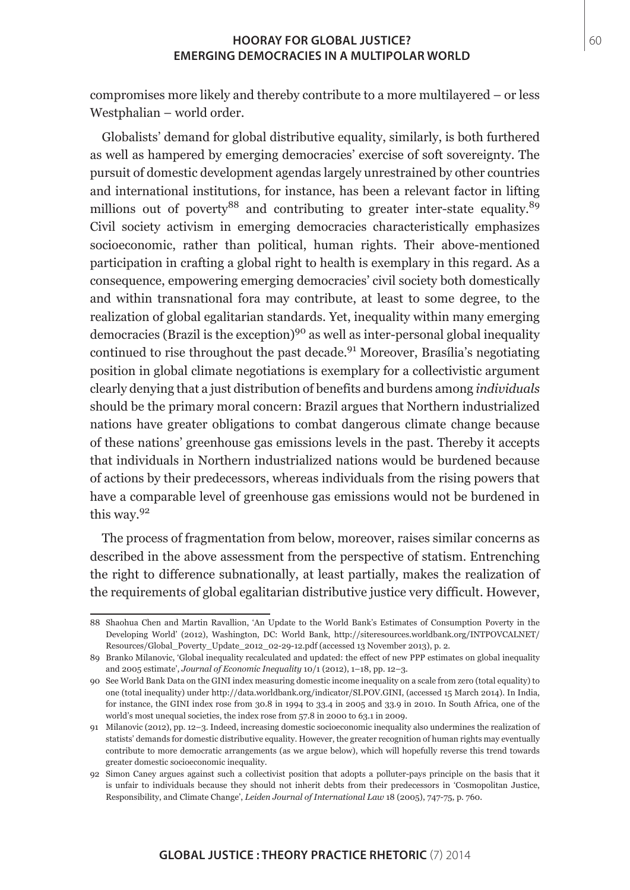compromises more likely and thereby contribute to a more multilayered – or less Westphalian – world order.

Globalists' demand for global distributive equality, similarly, is both furthered as well as hampered by emerging democracies' exercise of soft sovereignty. The pursuit of domestic development agendas largely unrestrained by other countries and international institutions, for instance, has been a relevant factor in lifting millions out of poverty<sup>88</sup> and contributing to greater inter-state equality.<sup>89</sup> Civil society activism in emerging democracies characteristically emphasizes socioeconomic, rather than political, human rights. Their above-mentioned participation in crafting a global right to health is exemplary in this regard. As a consequence, empowering emerging democracies' civil society both domestically and within transnational fora may contribute, at least to some degree, to the realization of global egalitarian standards. Yet, inequality within many emerging democracies (Brazil is the exception)<sup>90</sup> as well as inter-personal global inequality continued to rise throughout the past decade.<sup>91</sup> Moreover, Brasília's negotiating position in global climate negotiations is exemplary for a collectivistic argument clearly denying that a just distribution of benefits and burdens among *individuals* should be the primary moral concern: Brazil argues that Northern industrialized nations have greater obligations to combat dangerous climate change because of these nations' greenhouse gas emissions levels in the past. Thereby it accepts that individuals in Northern industrialized nations would be burdened because of actions by their predecessors, whereas individuals from the rising powers that have a comparable level of greenhouse gas emissions would not be burdened in this way.<sup>92</sup>

The process of fragmentation from below, moreover, raises similar concerns as described in the above assessment from the perspective of statism. Entrenching the right to difference subnationally, at least partially, makes the realization of the requirements of global egalitarian distributive justice very difficult. However,

<sup>88</sup> Shaohua Chen and Martin Ravallion, 'An Update to the World Bank's Estimates of Consumption Poverty in the Developing World' (2012), Washington, DC: World Bank, http://siteresources.worldbank.org/INTPOVCALNET/ Resources/Global\_Poverty\_Update\_2012\_02-29-12.pdf (accessed 13 November 2013), p. 2.

<sup>89</sup> Branko Milanovic, 'Global inequality recalculated and updated: the effect of new PPP estimates on global inequality and 2005 estimate', *Journal of Economic Inequality* 10/1 (2012), 1–18, pp. 12–3.

<sup>90</sup> See World Bank Data on the GINI index measuring domestic income inequality on a scale from zero (total equality) to one (total inequality) under http://data.worldbank.org/indicator/SI.POV.GINI, (accessed 15 March 2014). In India, for instance, the GINI index rose from 30.8 in 1994 to 33.4 in 2005 and 33.9 in 2010. In South Africa, one of the world's most unequal societies, the index rose from 57.8 in 2000 to 63.1 in 2009.

<sup>91</sup> Milanovic (2012), pp. 12–3. Indeed, increasing domestic socioeconomic inequality also undermines the realization of statists' demands for domestic distributive equality. However, the greater recognition of human rights may eventually contribute to more democratic arrangements (as we argue below), which will hopefully reverse this trend towards greater domestic socioeconomic inequality.

<sup>92</sup> Simon Caney argues against such a collectivist position that adopts a polluter-pays principle on the basis that it is unfair to individuals because they should not inherit debts from their predecessors in 'Cosmopolitan Justice, Responsibility, and Climate Change', *Leiden Journal of International Law* 18 (2005), 747-75, p. 760.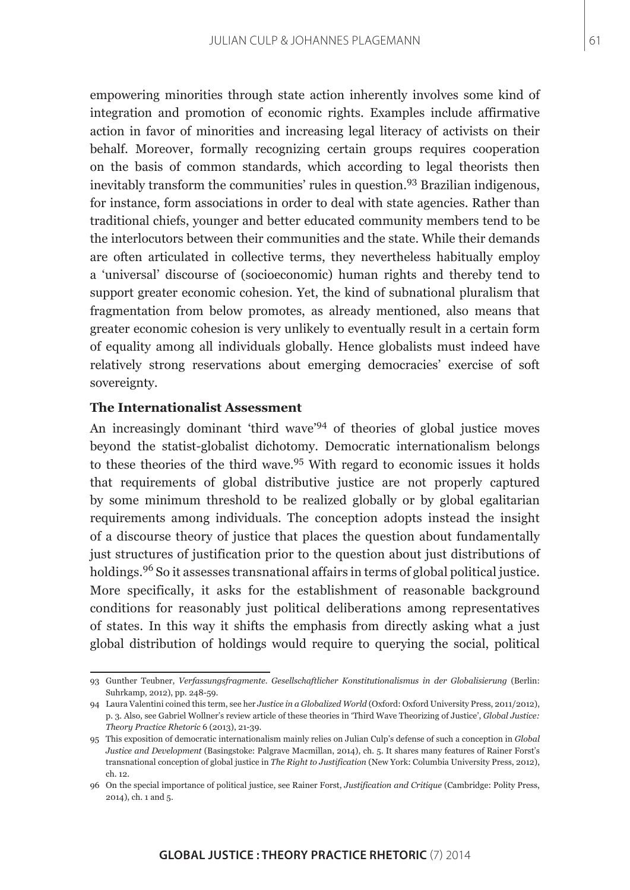empowering minorities through state action inherently involves some kind of integration and promotion of economic rights. Examples include affirmative action in favor of minorities and increasing legal literacy of activists on their behalf. Moreover, formally recognizing certain groups requires cooperation on the basis of common standards, which according to legal theorists then inevitably transform the communities' rules in question.93 Brazilian indigenous, for instance, form associations in order to deal with state agencies. Rather than traditional chiefs, younger and better educated community members tend to be the interlocutors between their communities and the state. While their demands are often articulated in collective terms, they nevertheless habitually employ a 'universal' discourse of (socioeconomic) human rights and thereby tend to support greater economic cohesion. Yet, the kind of subnational pluralism that fragmentation from below promotes, as already mentioned, also means that greater economic cohesion is very unlikely to eventually result in a certain form of equality among all individuals globally. Hence globalists must indeed have relatively strong reservations about emerging democracies' exercise of soft sovereignty.

## **The Internationalist Assessment**

An increasingly dominant 'third wave'<sup>94</sup> of theories of global justice moves beyond the statist-globalist dichotomy. Democratic internationalism belongs to these theories of the third wave.<sup>95</sup> With regard to economic issues it holds that requirements of global distributive justice are not properly captured by some minimum threshold to be realized globally or by global egalitarian requirements among individuals. The conception adopts instead the insight of a discourse theory of justice that places the question about fundamentally just structures of justification prior to the question about just distributions of holdings.<sup>96</sup> So it assesses transnational affairs in terms of global political justice. More specifically, it asks for the establishment of reasonable background conditions for reasonably just political deliberations among representatives of states. In this way it shifts the emphasis from directly asking what a just global distribution of holdings would require to querying the social, political

<sup>93</sup> Gunther Teubner, *Verfassungsfragmente. Gesellschaftlicher Konstitutionalismus in der Globalisierung* (Berlin: Suhrkamp, 2012), pp. 248-59.

<sup>94</sup> Laura Valentini coined this term, see her *Justice in a Globalized World* (Oxford: Oxford University Press, 2011/2012), p. 3. Also, see Gabriel Wollner's review article of these theories in 'Third Wave Theorizing of Justice', *Global Justice: Theory Practice Rhetoric* 6 (2013), 21-39.

<sup>95</sup> This exposition of democratic internationalism mainly relies on Julian Culp's defense of such a conception in *Global Justice and Development* (Basingstoke: Palgrave Macmillan, 2014), ch. 5. It shares many features of Rainer Forst's transnational conception of global justice in *The Right to Justification* (New York: Columbia University Press, 2012), ch. 12.

<sup>96</sup> On the special importance of political justice, see Rainer Forst, *Justification and Critique* (Cambridge: Polity Press, 2014), ch. 1 and 5.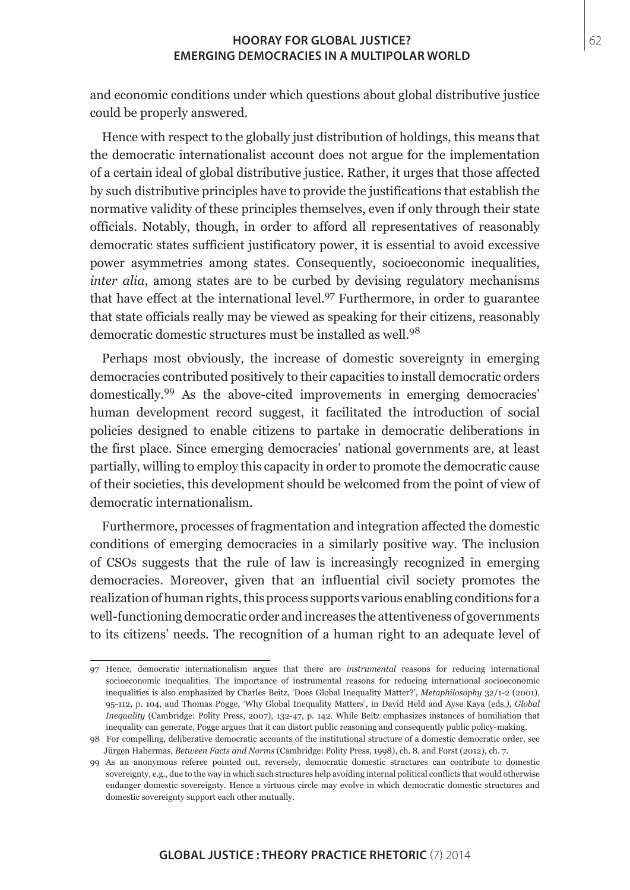and economic conditions under which questions about global distributive justice could be properly answered.

Hence with respect to the globally just distribution of holdings, this means that the democratic internationalist account does not argue for the implementation of a certain ideal of global distributive justice. Rather, it urges that those affected by such distributive principles have to provide the justifications that establish the normative validity of these principles themselves, even if only through their state officials. Notably, though, in order to afford all representatives of reasonably democratic states sufficient justificatory power, it is essential to avoid excessive power asymmetries among states. Consequently, socioeconomic inequalities, *inter alia*, among states are to be curbed by devising regulatory mechanisms that have effect at the international level.97 Furthermore, in order to guarantee that state officials really may be viewed as speaking for their citizens, reasonably democratic domestic structures must be installed as well.<sup>98</sup>

Perhaps most obviously, the increase of domestic sovereignty in emerging democracies contributed positively to their capacities to install democratic orders domestically.99 As the above-cited improvements in emerging democracies' human development record suggest, it facilitated the introduction of social policies designed to enable citizens to partake in democratic deliberations in the first place. Since emerging democracies' national governments are, at least partially, willing to employ this capacity in order to promote the democratic cause of their societies, this development should be welcomed from the point of view of democratic internationalism.

Furthermore, processes of fragmentation and integration affected the domestic conditions of emerging democracies in a similarly positive way. The inclusion of CSOs suggests that the rule of law is increasingly recognized in emerging democracies. Moreover, given that an influential civil society promotes the realization of human rights, this process supports various enabling conditions for a well-functioning democratic order and increases the attentiveness of governments to its citizens' needs. The recognition of a human right to an adequate level of

<sup>97</sup> Hence, democratic internationalism argues that there are *instrumental* reasons for reducing international socioeconomic inequalities. The importance of instrumental reasons for reducing international socioeconomic inequalities is also emphasized by Charles Beitz, 'Does Global Inequality Matter?', *Metaphilosophy* 32/1-2 (2001), 95-112, p. 104, and Thomas Pogge, 'Why Global Inequality Matters', in David Held and Ayse Kaya (eds*.), Global Inequality* (Cambridge: Polity Press, 2007), 132-47, p. 142. While Beitz emphasizes instances of humiliation that inequality can generate, Pogge argues that it can distort public reasoning and consequently public policy-making.

<sup>98</sup> For compelling, deliberative democratic accounts of the institutional structure of a domestic democratic order, see Jürgen Habermas, *Between Facts and Norms* (Cambridge: Polity Press, 1998), ch. 8, and Forst (2012), ch. 7.

<sup>99</sup> As an anonymous referee pointed out, reversely, democratic domestic structures can contribute to domestic sovereignty, e.g., due to the way in which such structures help avoiding internal political conflicts that would otherwise endanger domestic sovereignty. Hence a virtuous circle may evolve in which democratic domestic structures and domestic sovereignty support each other mutually.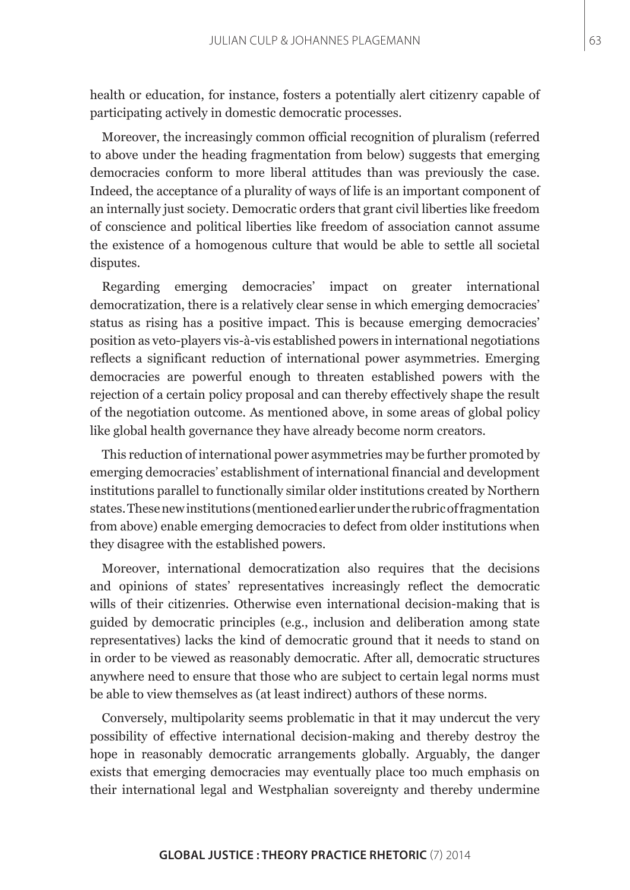health or education, for instance, fosters a potentially alert citizenry capable of participating actively in domestic democratic processes.

Moreover, the increasingly common official recognition of pluralism (referred to above under the heading fragmentation from below) suggests that emerging democracies conform to more liberal attitudes than was previously the case. Indeed, the acceptance of a plurality of ways of life is an important component of an internally just society. Democratic orders that grant civil liberties like freedom of conscience and political liberties like freedom of association cannot assume the existence of a homogenous culture that would be able to settle all societal disputes.

Regarding emerging democracies' impact on greater international democratization, there is a relatively clear sense in which emerging democracies' status as rising has a positive impact. This is because emerging democracies' position as veto-players vis-à-vis established powers in international negotiations reflects a significant reduction of international power asymmetries. Emerging democracies are powerful enough to threaten established powers with the rejection of a certain policy proposal and can thereby effectively shape the result of the negotiation outcome. As mentioned above, in some areas of global policy like global health governance they have already become norm creators.

This reduction of international power asymmetries may be further promoted by emerging democracies' establishment of international financial and development institutions parallel to functionally similar older institutions created by Northern states. These new institutions (mentioned earlier under the rubric of fragmentation from above) enable emerging democracies to defect from older institutions when they disagree with the established powers.

Moreover, international democratization also requires that the decisions and opinions of states' representatives increasingly reflect the democratic wills of their citizenries. Otherwise even international decision-making that is guided by democratic principles (e.g., inclusion and deliberation among state representatives) lacks the kind of democratic ground that it needs to stand on in order to be viewed as reasonably democratic. After all, democratic structures anywhere need to ensure that those who are subject to certain legal norms must be able to view themselves as (at least indirect) authors of these norms.

Conversely, multipolarity seems problematic in that it may undercut the very possibility of effective international decision-making and thereby destroy the hope in reasonably democratic arrangements globally. Arguably, the danger exists that emerging democracies may eventually place too much emphasis on their international legal and Westphalian sovereignty and thereby undermine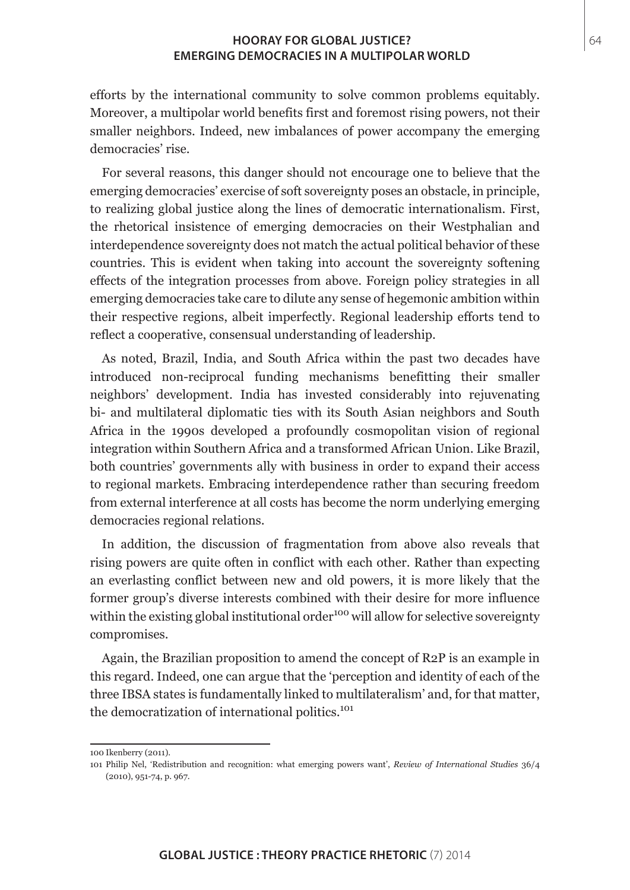efforts by the international community to solve common problems equitably. Moreover, a multipolar world benefits first and foremost rising powers, not their smaller neighbors. Indeed, new imbalances of power accompany the emerging democracies' rise.

For several reasons, this danger should not encourage one to believe that the emerging democracies' exercise of soft sovereignty poses an obstacle, in principle, to realizing global justice along the lines of democratic internationalism. First, the rhetorical insistence of emerging democracies on their Westphalian and interdependence sovereignty does not match the actual political behavior of these countries. This is evident when taking into account the sovereignty softening effects of the integration processes from above. Foreign policy strategies in all emerging democracies take care to dilute any sense of hegemonic ambition within their respective regions, albeit imperfectly. Regional leadership efforts tend to reflect a cooperative, consensual understanding of leadership.

As noted, Brazil, India, and South Africa within the past two decades have introduced non-reciprocal funding mechanisms benefitting their smaller neighbors' development. India has invested considerably into rejuvenating bi- and multilateral diplomatic ties with its South Asian neighbors and South Africa in the 1990s developed a profoundly cosmopolitan vision of regional integration within Southern Africa and a transformed African Union. Like Brazil, both countries' governments ally with business in order to expand their access to regional markets. Embracing interdependence rather than securing freedom from external interference at all costs has become the norm underlying emerging democracies regional relations.

In addition, the discussion of fragmentation from above also reveals that rising powers are quite often in conflict with each other. Rather than expecting an everlasting conflict between new and old powers, it is more likely that the former group's diverse interests combined with their desire for more influence within the existing global institutional order<sup>100</sup> will allow for selective sovereignty compromises.

Again, the Brazilian proposition to amend the concept of R2P is an example in this regard. Indeed, one can argue that the 'perception and identity of each of the three IBSA states is fundamentally linked to multilateralism' and, for that matter, the democratization of international politics.<sup>101</sup>

<sup>100</sup> Ikenberry (2011).

<sup>101</sup> Philip Nel, 'Redistribution and recognition: what emerging powers want', *Review of International Studies* 36/4 (2010), 951-74, p. 967.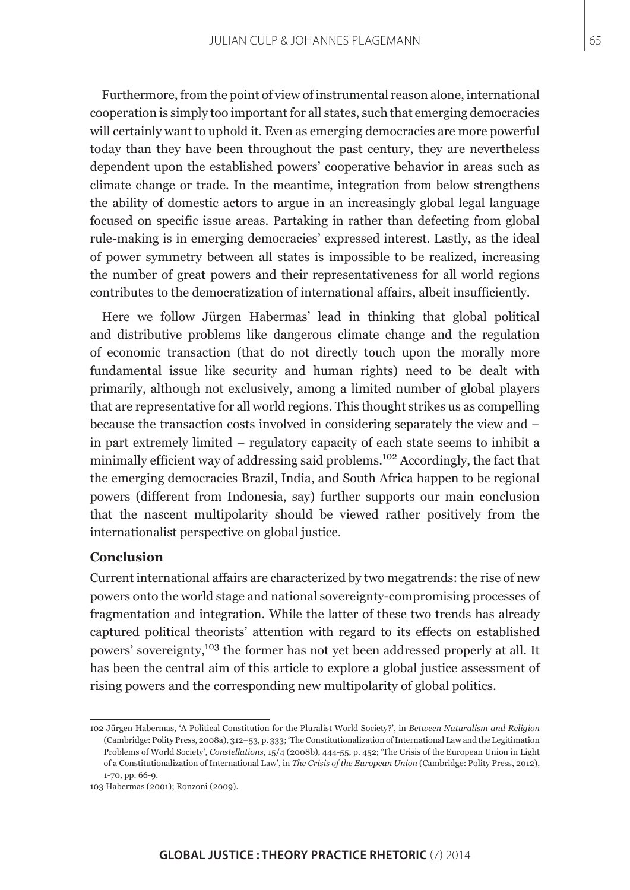Furthermore, from the point of view of instrumental reason alone, international cooperation is simply too important for all states, such that emerging democracies will certainly want to uphold it. Even as emerging democracies are more powerful today than they have been throughout the past century, they are nevertheless dependent upon the established powers' cooperative behavior in areas such as climate change or trade. In the meantime, integration from below strengthens the ability of domestic actors to argue in an increasingly global legal language focused on specific issue areas. Partaking in rather than defecting from global rule-making is in emerging democracies' expressed interest. Lastly, as the ideal of power symmetry between all states is impossible to be realized, increasing the number of great powers and their representativeness for all world regions contributes to the democratization of international affairs, albeit insufficiently.

Here we follow Jürgen Habermas' lead in thinking that global political and distributive problems like dangerous climate change and the regulation of economic transaction (that do not directly touch upon the morally more fundamental issue like security and human rights) need to be dealt with primarily, although not exclusively, among a limited number of global players that are representative for all world regions. This thought strikes us as compelling because the transaction costs involved in considering separately the view and – in part extremely limited – regulatory capacity of each state seems to inhibit a minimally efficient way of addressing said problems.<sup>102</sup> Accordingly, the fact that the emerging democracies Brazil, India, and South Africa happen to be regional powers (different from Indonesia, say) further supports our main conclusion that the nascent multipolarity should be viewed rather positively from the internationalist perspective on global justice.

# **Conclusion**

Current international affairs are characterized by two megatrends: the rise of new powers onto the world stage and national sovereignty-compromising processes of fragmentation and integration. While the latter of these two trends has already captured political theorists' attention with regard to its effects on established powers' sovereignty,103 the former has not yet been addressed properly at all. It has been the central aim of this article to explore a global justice assessment of rising powers and the corresponding new multipolarity of global politics.

<sup>102</sup>Jürgen Habermas, 'A Political Constitution for the Pluralist World Society?', in *Between Naturalism and Religion* (Cambridge: Polity Press, 2008a), 312–53, p. 333; 'The Constitutionalization of International Law and the Legitimation Problems of World Society', *Constellations*, 15/4 (2008b), 444-55, p. 452; 'The Crisis of the European Union in Light of a Constitutionalization of International Law', in *The Crisis of the European Union* (Cambridge: Polity Press, 2012), 1-70, pp. 66-9.

<sup>103</sup> Habermas (2001); Ronzoni (2009).